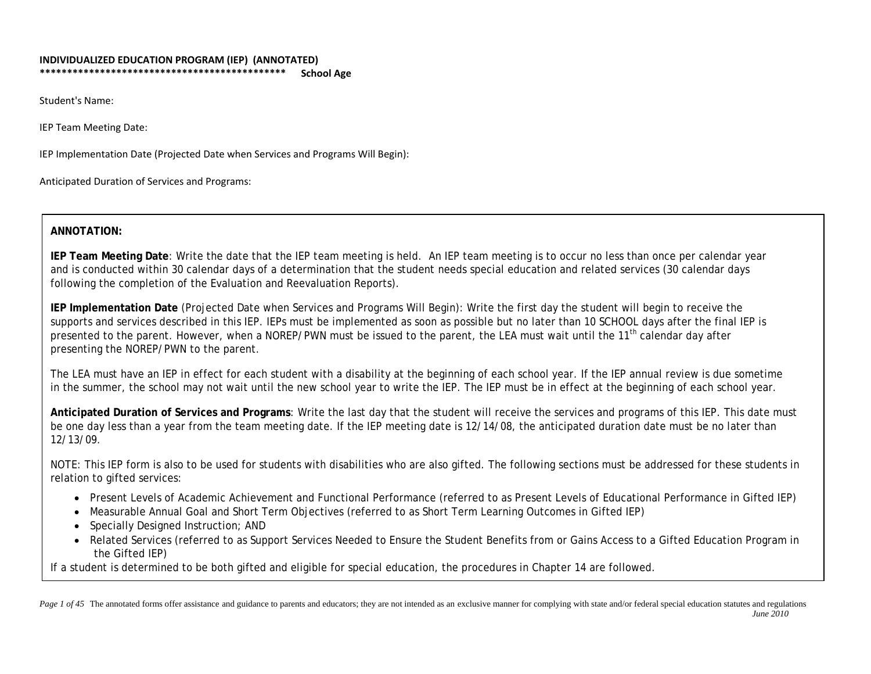#### **INDIVIDUALIZED EDUCATION PROGRAM (IEP) (ANNOTATED) \*\*\*\*\*\*\*\*\*\*\*\*\*\*\*\*\*\*\*\*\*\*\*\*\*\*\*\*\*\*\*\*\*\*\*\*\*\*\*\*\*\*\*\*\* School Age**

Student's Name:

IEP Team Meeting Date:

IEP Implementation Date (Projected Date when Services and Programs Will Begin):

Anticipated Duration of Services and Programs:

## **ANNOTATION:**

**IEP Team Meeting Date**: Write the date that the IEP team meeting is held. An IEP team meeting is to occur no less than once per calendar year and is conducted within 30 calendar days of a determination that the student needs special education and related services (30 calendar days following the completion of the Evaluation and Reevaluation Reports).

**IEP Implementation Date** (Projected Date when Services and Programs Will Begin): Write the first day the student will begin to receive the supports and services described in this IEP. IEPs must be implemented as soon as possible but no later than 10 SCHOOL days after the final IEP is presented to the parent. However, when a NOREP/PWN must be issued to the parent, the LEA must wait until the 11<sup>th</sup> calendar day after presenting the NOREP/PWN to the parent.

The LEA must have an IEP in effect for each student with a disability at the beginning of each school year. If the IEP annual review is due sometime in the summer, the school may not wait until the new school year to write the IEP. The IEP must be in effect at the beginning of each school year.

**Anticipated Duration of Services and Programs**: Write the last day that the student will receive the services and programs of this IEP. This date must be one day less than a year from the team meeting date. If the IEP meeting date is 12/14/08, the anticipated duration date must be no later than 12/13/09.

NOTE: This IEP form is also to be used for students with disabilities who are also gifted. The following sections must be addressed for these students in relation to gifted services:

- Present Levels of Academic Achievement and Functional Performance (referred to as Present Levels of Educational Performance in Gifted IEP)
- Measurable Annual Goal and Short Term Objectives (referred to as Short Term Learning Outcomes in Gifted IEP)
- Specially Designed Instruction; AND
- Related Services (referred to as Support Services Needed to Ensure the Student Benefits from or Gains Access to a Gifted Education Program in the Gifted IEP)

If a student is determined to be both gifted and eligible for special education, the procedures in Chapter 14 are followed.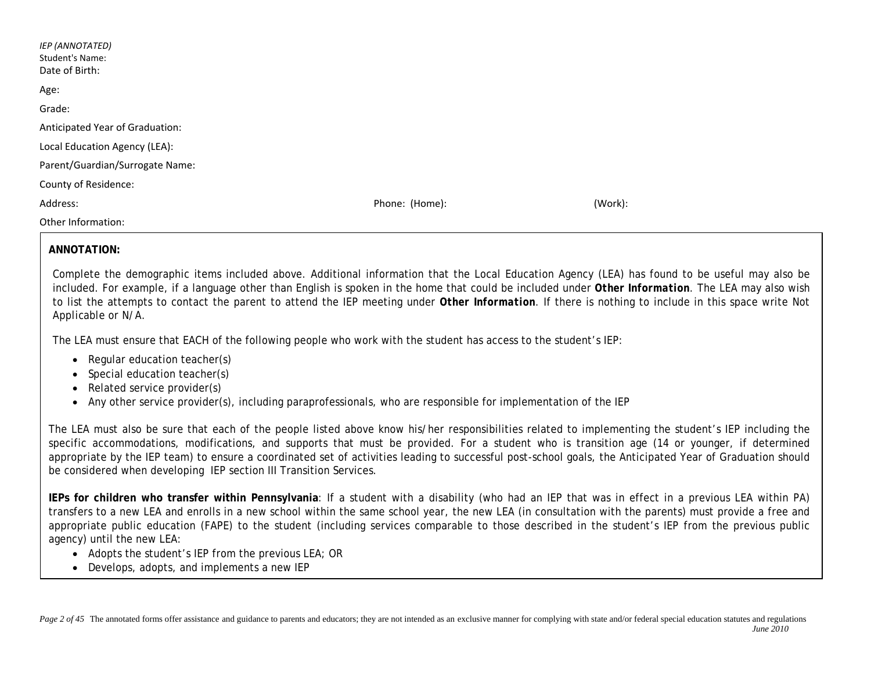| <b>IEP (ANNOTATED)</b><br><b>Student's Name:</b><br>Date of Birth: |                |         |
|--------------------------------------------------------------------|----------------|---------|
| Age:                                                               |                |         |
| Grade:                                                             |                |         |
| Anticipated Year of Graduation:                                    |                |         |
| Local Education Agency (LEA):                                      |                |         |
| Parent/Guardian/Surrogate Name:                                    |                |         |
| County of Residence:                                               |                |         |
| Address:                                                           | Phone: (Home): | (Work): |
| Other Information:                                                 |                |         |

## **ANNOTATION:**

Complete the demographic items included above. Additional information that the Local Education Agency (LEA) has found to be useful may also be included. For example, if a language other than English is spoken in the home that could be included under *Other Information.* The LEA may also wish to list the attempts to contact the parent to attend the IEP meeting under *Other Information*. If there is nothing to include in this space write *Not Applicable or N/A.*

The LEA must ensure that EACH of the following people who work with the student has access to the student's IEP:

- Regular education teacher(s)
- Special education teacher(s)
- Related service provider(s)
- Any other service provider(s), including paraprofessionals, who are responsible for implementation of the IEP

The LEA must also be sure that each of the people listed above know his/her responsibilities related to implementing the student's IEP including the specific accommodations, modifications, and supports that must be provided. For a student who is transition age (14 or younger, if determined appropriate by the IEP team) to ensure a coordinated set of activities leading to successful post-school goals, the Anticipated Year of Graduation should be considered when developing IEP section III Transition Services.

**IEPs for children who transfer within Pennsylvania***:* If a student with a disability (who had an IEP that was in effect in a previous LEA within PA) transfers to a new LEA and enrolls in a new school within the same school year, the new LEA (in consultation with the parents) must provide a free and appropriate public education (FAPE) to the student (including services comparable to those described in the student's IEP from the previous public agency) until the new LEA:

- Adopts the student's IEP from the previous LEA; OR
- Develops, adopts, and implements a new IEP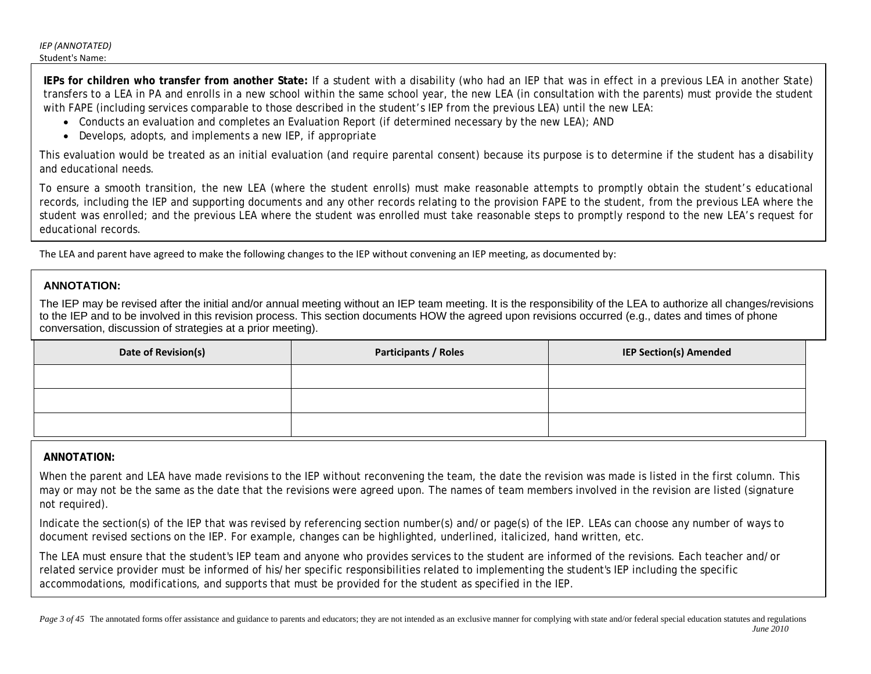**IEPs for children who transfer from another State:** If a student with a disability (who had an IEP that was in effect in a previous LEA in another State) transfers to a LEA in PA and enrolls in a new school within the same school year, the new LEA (in consultation with the parents) must provide the student with FAPE (including services comparable to those described in the student's IEP from the previous LEA) until the new LEA:

- Conducts an evaluation and completes an Evaluation Report (if determined necessary by the new LEA); AND
- Develops, adopts, and implements a new IEP, if appropriate

This evaluation would be treated as an initial evaluation (and require parental consent) because its purpose is to determine if the student has a disability and educational needs.

To ensure a smooth transition, the new LEA (where the student enrolls) must make reasonable attempts to promptly obtain the student's educational records, including the IEP and supporting documents and any other records relating to the provision FAPE to the student, from the previous LEA where the student was enrolled; and the previous LEA where the student was enrolled must take reasonable steps to promptly respond to the new LEA's request for educational records.

The LEA and parent have agreed to make the following changes to the IEP without convening an IEP meeting, as documented by:

## **ANNOTATION:**

The IEP may be revised after the initial and/or annual meeting without an IEP team meeting. It is the responsibility of the LEA to authorize all changes/revisions to the IEP and to be involved in this revision process. This section documents HOW the agreed upon revisions occurred (e.g., dates and times of phone conversation, discussion of strategies at a prior meeting).

| Date of Revision(s) | <b>Participants / Roles</b> | <b>IEP Section(s) Amended</b> |
|---------------------|-----------------------------|-------------------------------|
|                     |                             |                               |
|                     |                             |                               |
|                     |                             |                               |

## **ANNOTATION:**

When the parent and LEA have made revisions to the IEP without reconvening the team, the date the revision was made is listed in the first column. This may or may not be the same as the date that the revisions were agreed upon. The names of team members involved in the revision are listed (signature not required).

Indicate the section(s) of the IEP that was revised by referencing section number(s) and/or page(s) of the IEP. LEAs can choose any number of ways to document revised sections on the IEP. For example, changes can be highlighted, underlined, italicized, hand written, etc.

The LEA must ensure that the student's IEP team and anyone who provides services to the student are informed of the revisions. Each teacher and/or related service provider must be informed of his/her specific responsibilities related to implementing the student's IEP including the specific accommodations, modifications, and supports that must be provided for the student as specified in the IEP.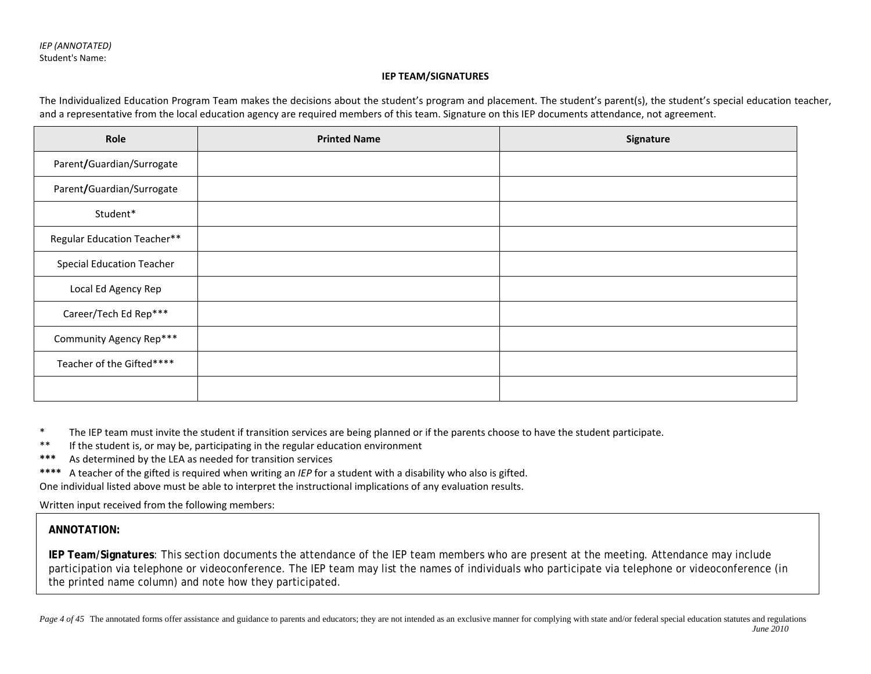#### **IEP TEAM/SIGNATURES**

The Individualized Education Program Team makes the decisions about the student's program and placement. The student's parent(s), the student's special education teacher, and a representative from the local education agency are required members of this team. Signature on this IEP documents attendance, not agreement.

| Role                               | <b>Printed Name</b> | Signature |
|------------------------------------|---------------------|-----------|
| Parent/Guardian/Surrogate          |                     |           |
| Parent/Guardian/Surrogate          |                     |           |
| Student*                           |                     |           |
| <b>Regular Education Teacher**</b> |                     |           |
| <b>Special Education Teacher</b>   |                     |           |
| Local Ed Agency Rep                |                     |           |
| Career/Tech Ed Rep***              |                     |           |
| Community Agency Rep***            |                     |           |
| Teacher of the Gifted****          |                     |           |
|                                    |                     |           |

\* The IEP team must invite the student if transition services are being planned or if the parents choose to have the student participate.

- \*\* If the student is, or may be, participating in the regular education environment
- **\*\*\*** As determined by the LEA as needed for transition services
- **\*\*\*\*** A teacher of the gifted is required when writing an *IEP* for a student with a disability who also is gifted.

One individual listed above must be able to interpret the instructional implications of any evaluation results.

Written input received from the following members:

## **ANNOTATION:**

**IEP Team/Signatures**: This section documents the attendance of the IEP team members who are present at the meeting. Attendance may include participation via telephone or videoconference. The IEP team may list the names of individuals who participate via telephone or videoconference (in the printed name column) and note how they participated.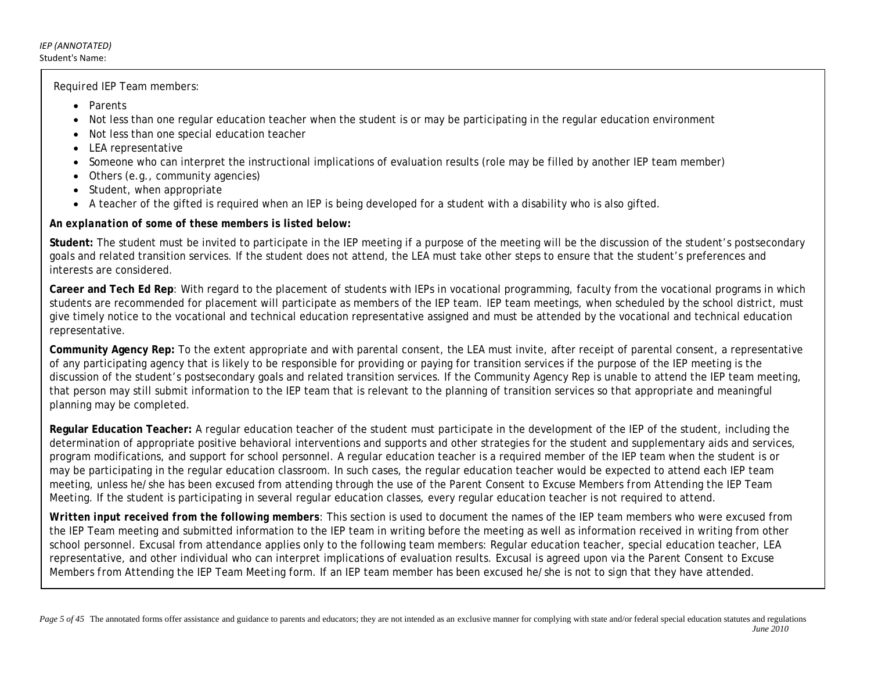*Required IEP Team members*:

- Parents
- Not less than one regular education teacher when the student is or may be participating in the regular education environment
- Not less than one special education teacher
- LEA representative
- Someone who can interpret the instructional implications of evaluation results (role may be filled by another IEP team member)
- Others (e.g., community agencies)
- Student, when appropriate
- A teacher of the gifted is required when an IEP is being developed for a student with a disability who is also gifted.

*An explanation of some of these members is listed below:*

**Student:** The student must be invited to participate in the IEP meeting if a purpose of the meeting will be the discussion of the student's postsecondary goals and related transition services. If the student does not attend, the LEA must take other steps to ensure that the student's preferences and interests are considered.

**Career and Tech Ed Rep**: With regard to the placement of students with IEPs in vocational programming, faculty from the vocational programs in which students are recommended for placement will participate as members of the IEP team. IEP team meetings, when scheduled by the school district, must give timely notice to the vocational and technical education representative assigned and must be attended by the vocational and technical education representative.

**Community Agency Rep:** To the extent appropriate and with parental consent, the LEA must invite, after receipt of parental consent, a representative of any participating agency that is likely to be responsible for providing or paying for transition services if the purpose of the IEP meeting is the discussion of the student's postsecondary goals and related transition services. If the Community Agency Rep is unable to attend the IEP team meeting, that person may still submit information to the IEP team that is relevant to the planning of transition services so that appropriate and meaningful planning may be completed.

**Regular Education Teacher:** A regular education teacher of the student must participate in the development of the IEP of the student, including the determination of appropriate positive behavioral interventions and supports and other strategies for the student and supplementary aids and services, program modifications, and support for school personnel. A regular education teacher is a required member of the IEP team when the student is or may be participating in the regular education classroom. In such cases, the regular education teacher would be expected to attend each IEP team meeting, unless he/she has been excused from attending through the use of the *Parent Consent to Excuse Members from Attending the IEP Team Meeting*. If the student is participating in several regular education classes, every regular education teacher is not required to attend.

*Written input received from the following members*: This section is used to document the names of the IEP team members who were excused from the IEP Team meeting and submitted information to the IEP team in writing before the meeting as well as information received in writing from other school personnel. Excusal from attendance applies only to the following team members: Regular education teacher, special education teacher, LEA representative, and other individual who can interpret implications of evaluation results. Excusal is agreed upon via the *Parent Consent to Excuse Members from Attending the IEP Team Meeting* form. If an IEP team member has been excused he/she is not to sign that they have attended.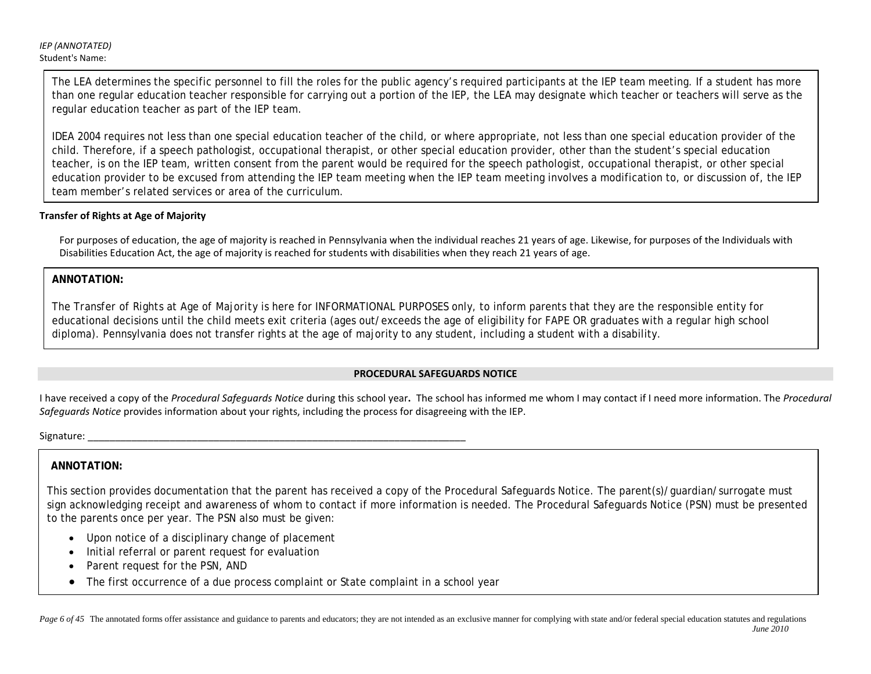The LEA determines the specific personnel to fill the roles for the public agency's required participants at the IEP team meeting. If a student has more than one regular education teacher responsible for carrying out a portion of the IEP, the LEA may designate which teacher or teachers will serve as the regular education teacher as part of the IEP team.

IDEA 2004 requires not less than one special education teacher of the child, or where appropriate, not less than one special education provider of the child. Therefore, if a speech pathologist, occupational therapist, or other special education provider, other than the student's special education teacher, is on the IEP team, written consent from the parent would be required for the speech pathologist, occupational therapist, or other special education provider to be excused from attending the IEP team meeting when the IEP team meeting involves a modification to, or discussion of, the IEP team member's related services or area of the curriculum.

## **Transfer of Rights at Age of Majority**

For purposes of education, the age of majority is reached in Pennsylvania when the individual reaches 21 years of age. Likewise, for purposes of the Individuals with Disabilities Education Act, the age of majority is reached for students with disabilities when they reach 21 years of age.

**ANNOTATION:**

The *Transfer of Rights at Age of Majority* is here for INFORMATIONAL PURPOSES only, to inform parents that they are the responsible entity for educational decisions until the child meets exit criteria (ages out/exceeds the age of eligibility for FAPE OR graduates with a regular high school diploma). Pennsylvania does not transfer rights at the age of majority to any student, including a student with a disability.

## **PROCEDURAL SAFEGUARDS NOTICE**

I have received a copy of the *Procedural Safeguards Notice* during this school year**.** The school has informed me whom I may contact if I need more information. The *Procedural Safeguards Notice* provides information about your rights, including the process for disagreeing with the IEP.

Signature: \_\_\_\_\_\_\_\_\_\_\_\_\_\_\_\_\_\_\_\_\_\_\_\_\_\_\_\_\_\_\_\_\_\_\_\_\_\_\_\_\_\_\_\_\_\_\_\_\_\_\_\_\_\_\_\_\_\_\_\_\_\_\_\_\_\_\_\_\_

## **ANNOTATION:**

This section provides documentation that the parent has received a copy of the Procedural Safeguards Notice. The parent(s)/guardian/surrogate must sign acknowledging receipt and awareness of whom to contact if more information is needed. The Procedural Safeguards Notice (PSN) must be presented to the parents once per year. The PSN also must be given:

- Upon notice of a disciplinary change of placement
- Initial referral or parent request for evaluation
- Parent request for the PSN, AND
- The first occurrence of a due process complaint or State complaint in a school year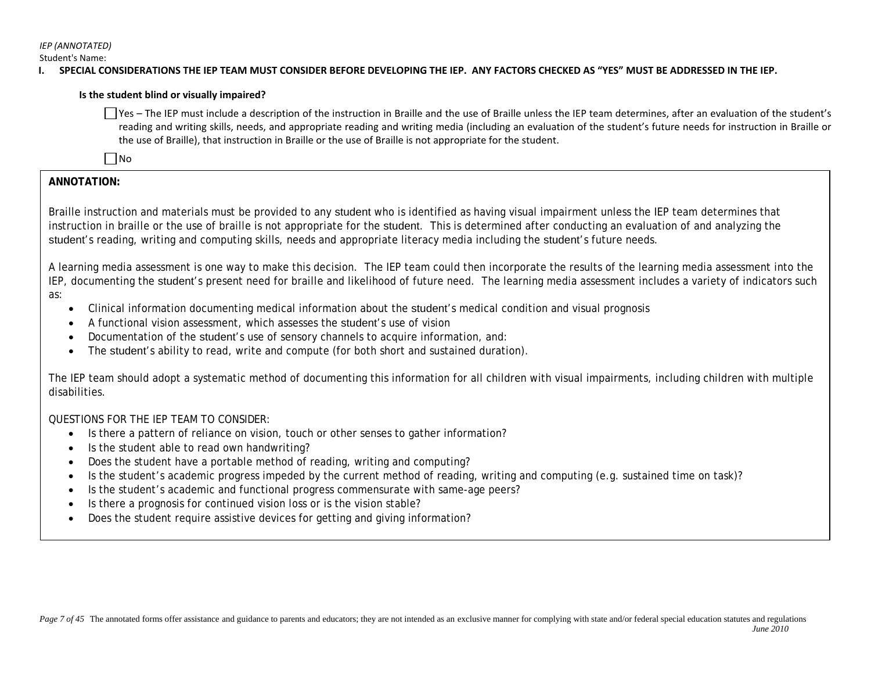*IEP (ANNOTATED)*

Student's Name:

### **I. SPECIAL CONSIDERATIONS THE IEP TEAM MUST CONSIDER BEFORE DEVELOPING THE IEP. ANY FACTORS CHECKED AS "YES" MUST BE ADDRESSED IN THE IEP.**

### **Is the student blind or visually impaired?**

 $\Box$  Yes – The IEP must include a description of the instruction in Braille and the use of Braille unless the IEP team determines, after an evaluation of the student's reading and writing skills, needs, and appropriate reading and writing media (including an evaluation of the student's future needs for instruction in Braille or the use of Braille), that instruction in Braille or the use of Braille is not appropriate for the student.

 $\square$ No

## **ANNOTATION:**

Braille instruction and materials must be provided to any student who is identified as having visual impairment unless the IEP team determines that instruction in braille or the use of braille is not appropriate for the student. This is determined after conducting an evaluation of and analyzing the student's reading, writing and computing skills, needs and appropriate literacy media including the student's future needs.

A learning media assessment is one way to make this decision. The IEP team could then incorporate the results of the learning media assessment into the IEP, documenting the student's present need for braille and likelihood of future need. The learning media assessment includes a variety of indicators such as:

- Clinical information documenting medical information about the student's medical condition and visual prognosis
- A functional vision assessment, which assesses the student's use of vision
- Documentation of the student's use of sensory channels to acquire information, and:
- The student's ability to read, write and compute (for both short and sustained duration).

The IEP team should adopt a systematic method of documenting this information for all children with visual impairments, including children with multiple disabilities.

QUESTIONS FOR THE IEP TEAM TO CONSIDER:

- Is there a pattern of reliance on vision, touch or other senses to gather information?
- Is the student able to read own handwriting?
- Does the student have a portable method of reading, writing and computing?
- Is the student's academic progress impeded by the current method of reading, writing and computing (e.g. sustained time on task)?
- Is the student's academic and functional progress commensurate with same-age peers?
- Is there a prognosis for continued vision loss or is the vision stable?
- Does the student require assistive devices for getting and giving information?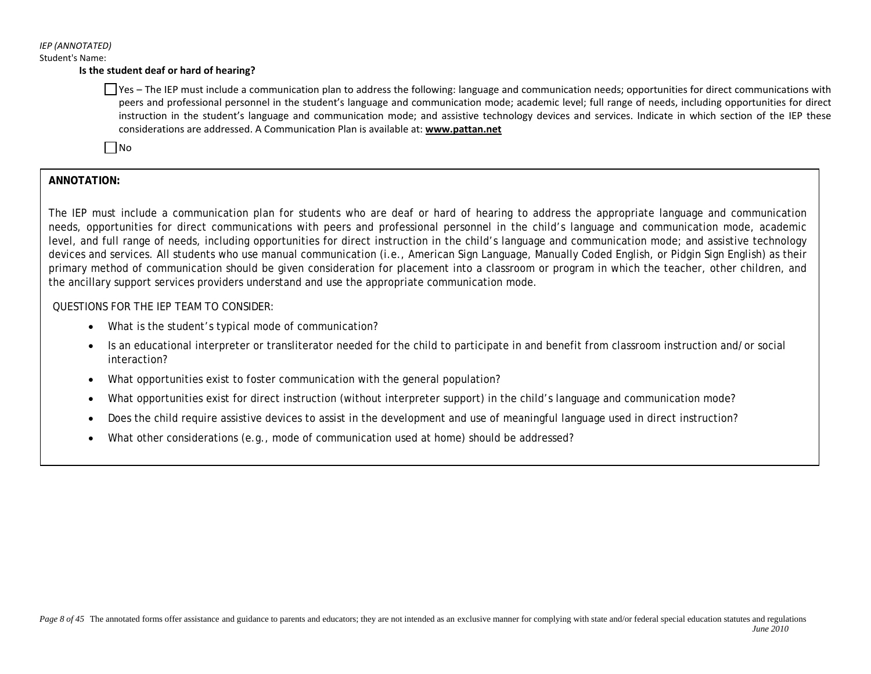#### **Is the student deaf or hard of hearing?**

Yes – The IEP must include a communication plan to address the following: language and communication needs; opportunities for direct communications with peers and professional personnel in the student's language and communication mode; academic level; full range of needs, including opportunities for direct instruction in the student's language and communication mode; and assistive technology devices and services. Indicate in which section of the IEP these considerations are addressed. A Communication Plan is available at: **www.pattan.net**

 $\n **No**\n$ 

## **ANNOTATION:**

The IEP must include a communication plan for students who are deaf or hard of hearing to address the appropriate language and communication needs, opportunities for direct communications with peers and professional personnel in the child's language and communication mode, academic level, and full range of needs, including opportunities for direct instruction in the child's language and communication mode; and assistive technology devices and services. All students who use manual communication (i.e., American Sign Language, Manually Coded English, or Pidgin Sign English) as their primary method of communication should be given consideration for placement into a classroom or program in which the teacher, other children, and the ancillary support services providers understand and use the appropriate communication mode.

### QUESTIONS FOR THE IEP TEAM TO CONSIDER:

- What is the student's typical mode of communication?
- Is an educational interpreter or transliterator needed for the child to participate in and benefit from classroom instruction and/or social interaction?
- What opportunities exist to foster communication with the general population?
- What opportunities exist for direct instruction (without interpreter support) in the child's language and communication mode?
- Does the child require assistive devices to assist in the development and use of meaningful language used in direct instruction?
- What other considerations (e.g., mode of communication used at home) should be addressed?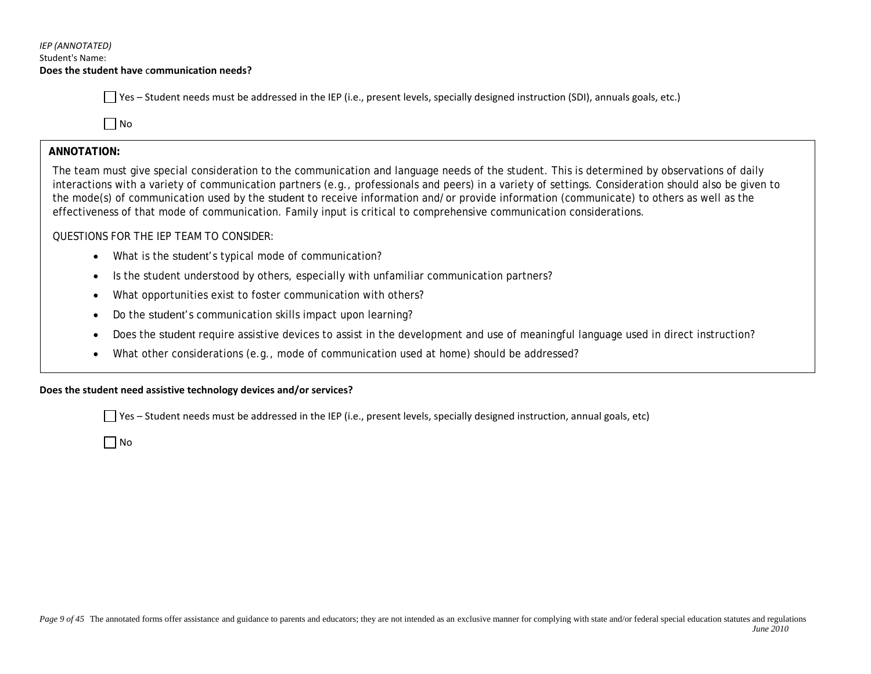## *IEP (ANNOTATED)* Student's Name: **Does the student have** c**ommunication needs?**

 $\Box$  Yes – Student needs must be addressed in the IEP (i.e., present levels, specially designed instruction (SDI), annuals goals, etc.)

 $\Box$  No

## **ANNOTATION:**

I

The team must give special consideration to the communication and language needs of the student. This is determined by observations of daily interactions with a variety of communication partners (e.g., professionals and peers) in a variety of settings. Consideration should also be given to the mode(s) of communication used by the student to receive information and/or provide information (communicate) to others as well as the effectiveness of that mode of communication. Family input is critical to comprehensive communication considerations.

## QUESTIONS FOR THE IEP TEAM TO CONSIDER:

- What is the student's typical mode of communication?
- Is the student understood by others, especially with unfamiliar communication partners?
- What opportunities exist to foster communication with others?
- Do the student's communication skills impact upon learning?
- Does the student require assistive devices to assist in the development and use of meaningful language used in direct instruction?
- What other considerations (e.g., mode of communication used at home) should be addressed?

## **Does the student need assistive technology devices and/or services?**

 $\vert \ \vert$  Yes – Student needs must be addressed in the IEP (i.e., present levels, specially designed instruction, annual goals, etc)

 $\Box$  No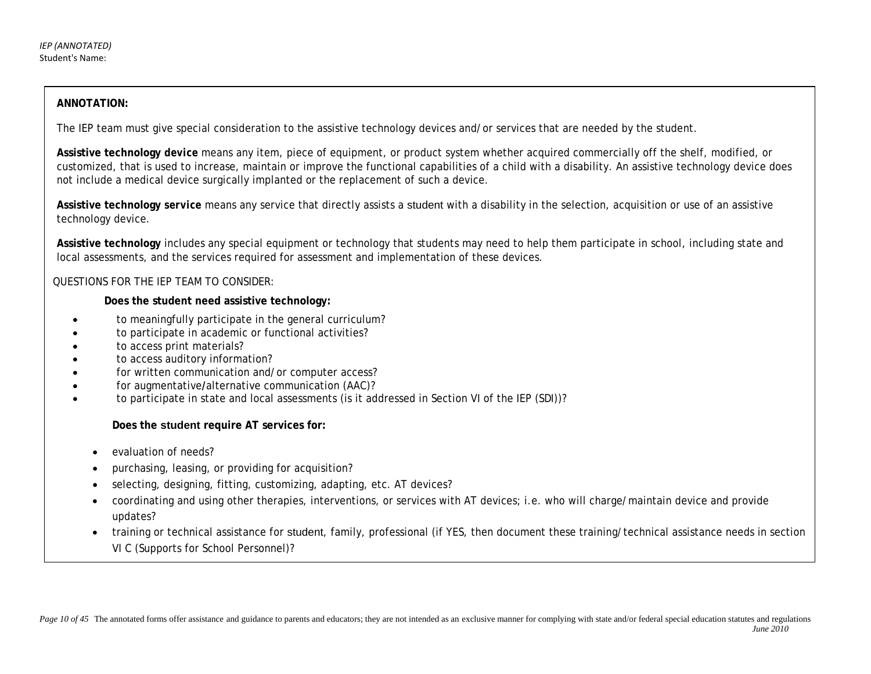## **ANNOTATION:**

The IEP team must give special consideration to the assistive technology devices and/or services that are needed by the student.

**Assistive technology** *device* means any item, piece of equipment, or product system whether acquired commercially off the shelf, modified, or customized, that is used to increase, maintain or improve the functional capabilities of a child with a disability. An assistive technology device does not include a medical device surgically implanted or the replacement of such a device.

**Assistive technology** *service* means any service that directly assists a student with a disability in the selection, acquisition or use of an assistive technology device.

**Assistive technology** includes any special equipment or technology that students may need to help them participate in school, including state and local assessments, and the services required for assessment and implementation of these devices.

### QUESTIONS FOR THE IEP TEAM TO CONSIDER:

#### **Does the student need assistive technology:**

- to meaningfully participate in the general curriculum?
- to participate in academic or functional activities?
- to access print materials?
- to access auditory information?
- for written communication and/or computer access?
- for augmentative**/**alternative communication (AAC)?
- to participate in state and local assessments (is it addressed in Section VI of the IEP (SDI))?

### **Does the student require AT services for:**

- evaluation of needs?
- purchasing, leasing, or providing for acquisition?
- selecting, designing, fitting, customizing, adapting, etc. AT devices?
- coordinating and using other therapies, interventions, or services with AT devices; i.e. who will charge/maintain device and provide updates?
- training or technical assistance for student, family, professional (if YES, then document these training/technical assistance needs in section VI C (Supports for School Personnel)?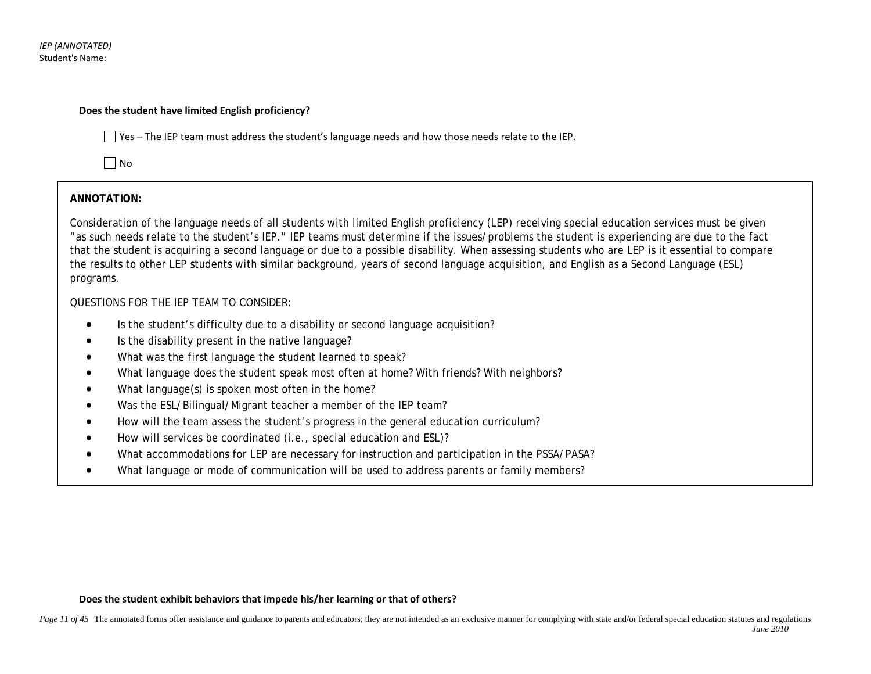*IEP (ANNOTATED)* Student's Name:

#### **Does the student have limited English proficiency?**

 $\Box$  Yes – The IEP team must address the student's language needs and how those needs relate to the IEP.

 $\Box$  No

## **ANNOTATION:**

Consideration of the language needs of all students with limited English proficiency (LEP) receiving special education services must be given "as such needs relate to the student's IEP." IEP teams must determine if the issues/problems the student is experiencing are due to the fact that the student is acquiring a second language or due to a possible disability. When assessing students who are LEP is it essential to compare the results to other LEP students with similar background, years of second language acquisition, and English as a Second Language (ESL) programs.

## QUESTIONS FOR THE IEP TEAM TO CONSIDER:

- Is the student's difficulty due to a disability or second language acquisition?
- Is the disability present in the native language?
- What was the first language the student learned to speak?
- What language does the student speak most often at home? With friends? With neighbors?
- What language(s) is spoken most often in the home?
- Was the ESL/Bilingual/Migrant teacher a member of the IEP team?
- How will the team assess the student's progress in the general education curriculum?
- How will services be coordinated (i.e., special education and ESL)?
- What accommodations for LEP are necessary for instruction and participation in the PSSA/PASA?
- What language or mode of communication will be used to address parents or family members?

### **Does the student exhibit behaviors that impede his/her learning or that of others?**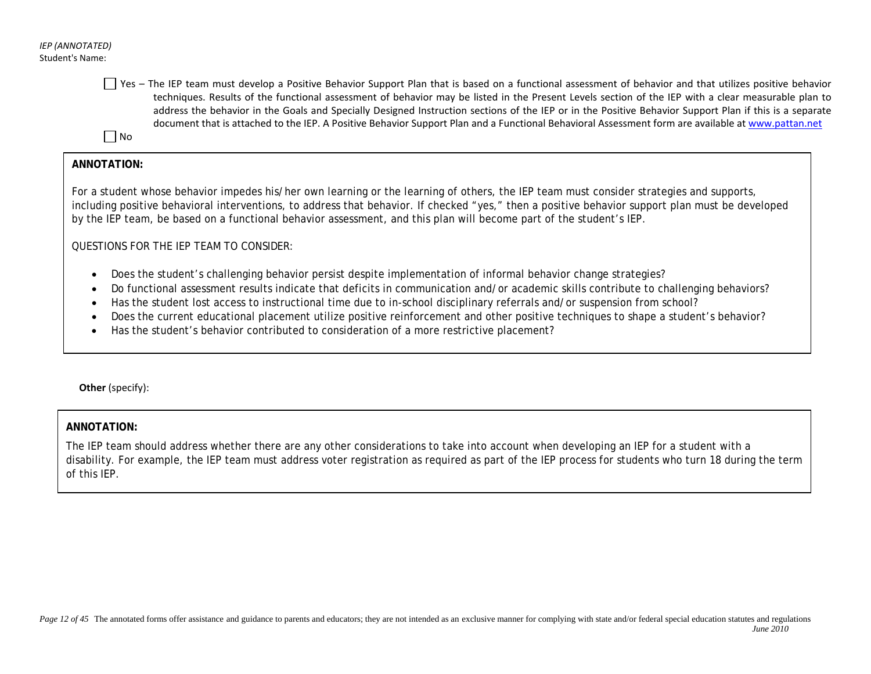$\Box$  Yes – The IEP team must develop a Positive Behavior Support Plan that is based on a functional assessment of behavior and that utilizes positive behavior techniques. Results of the functional assessment of behavior may be listed in the Present Levels section of the IEP with a clear measurable plan to address the behavior in the Goals and Specially Designed Instruction sections of the IEP or in the Positive Behavior Support Plan if this is a separate document that is attached to the IEP. A Positive Behavior Support Plan and a Functional Behavioral Assessment form are available a[t www.pattan.net](http://www.pattan.net/)

 $\Box$  No

## **ANNOTATION:**

For a student whose behavior impedes his/her own learning or the learning of others, the IEP team must consider strategies and supports, including positive behavioral interventions, to address that behavior. If checked "yes," then a positive behavior support plan must be developed by the IEP team, be based on a functional behavior assessment, and this plan will become part of the student's IEP.

QUESTIONS FOR THE IEP TEAM TO CONSIDER:

- Does the student's challenging behavior persist despite implementation of informal behavior change strategies?
- Do functional assessment results indicate that deficits in communication and/or academic skills contribute to challenging behaviors?
- Has the student lost access to instructional time due to in-school disciplinary referrals and/or suspension from school?
- Does the current educational placement utilize positive reinforcement and other positive techniques to shape a student's behavior?
- Has the student's behavior contributed to consideration of a more restrictive placement?

**Other** (specify):

### **ANNOTATION:**

The IEP team should address whether there are any other considerations to take into account when developing an IEP for a student with a disability. For example, the IEP team must address voter registration as required as part of the IEP process for students who turn 18 during the term of this IEP.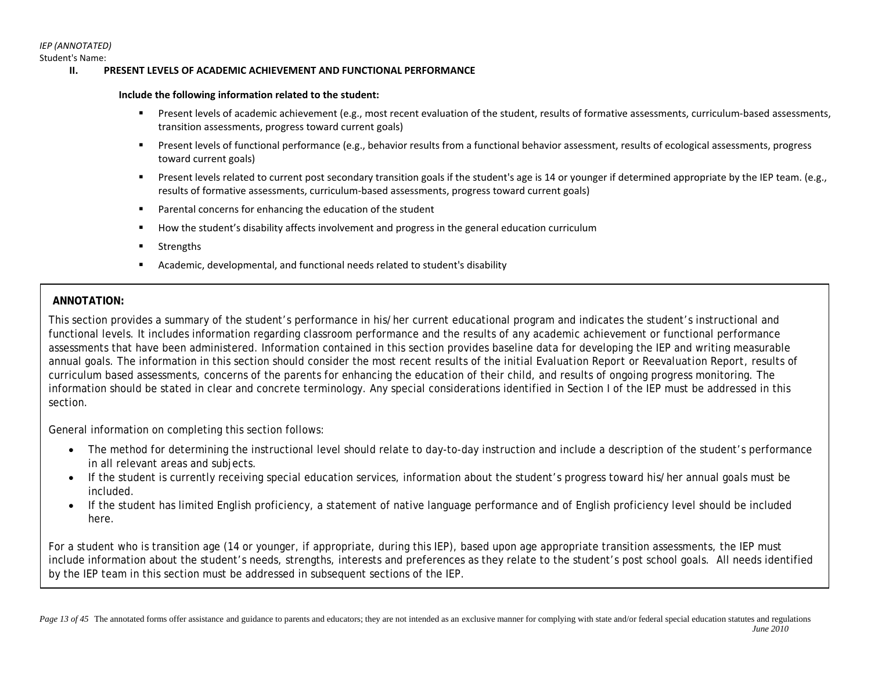Student's Name:

#### **II. PRESENT LEVELS OF ACADEMIC ACHIEVEMENT AND FUNCTIONAL PERFORMANCE**

#### **Include the following information related to the student:**

- Present levels of academic achievement (e.g., most recent evaluation of the student, results of formative assessments, curriculum-based assessments, transition assessments, progress toward current goals)
- Present levels of functional performance (e.g., behavior results from a functional behavior assessment, results of ecological assessments, progress toward current goals)
- Present levels related to current post secondary transition goals if the student's age is 14 or younger if determined appropriate by the IEP team. (e.g., results of formative assessments, curriculum-based assessments, progress toward current goals)
- Parental concerns for enhancing the education of the student
- How the student's disability affects involvement and progress in the general education curriculum
- Strengths
- Academic, developmental, and functional needs related to student's disability

## **ANNOTATION:**

This section provides a summary of the student's performance in his/her current educational program and indicates the student's instructional and functional levels. It includes information regarding classroom performance and the results of any academic achievement or functional performance assessments that have been administered. Information contained in this section provides baseline data for developing the IEP and writing measurable annual goals. The information in this section should consider the most recent results of the initial *Evaluation Report* or *Reevaluation Report*, results of curriculum based assessments, concerns of the parents for enhancing the education of their child, and results of ongoing progress monitoring. The information should be stated in clear and concrete terminology. Any special considerations identified in Section I of the IEP must be addressed in this section.

General information on completing this section follows:

- The method for determining the instructional level should relate to day-to-day instruction and include a description of the student's performance in all relevant areas and subjects.
- If the student is currently receiving special education services, information about the student's progress toward his/her annual goals must be included.
- If the student has limited English proficiency, a statement of native language performance and of English proficiency level should be included here.

For a student who is transition age (14 or younger, if appropriate, during this IEP), based upon age appropriate transition assessments, the IEP must include information about the student's needs, strengths, interests and preferences as they relate to the student's post school goals. All needs identified by the IEP team in this section must be addressed in subsequent sections of the IEP.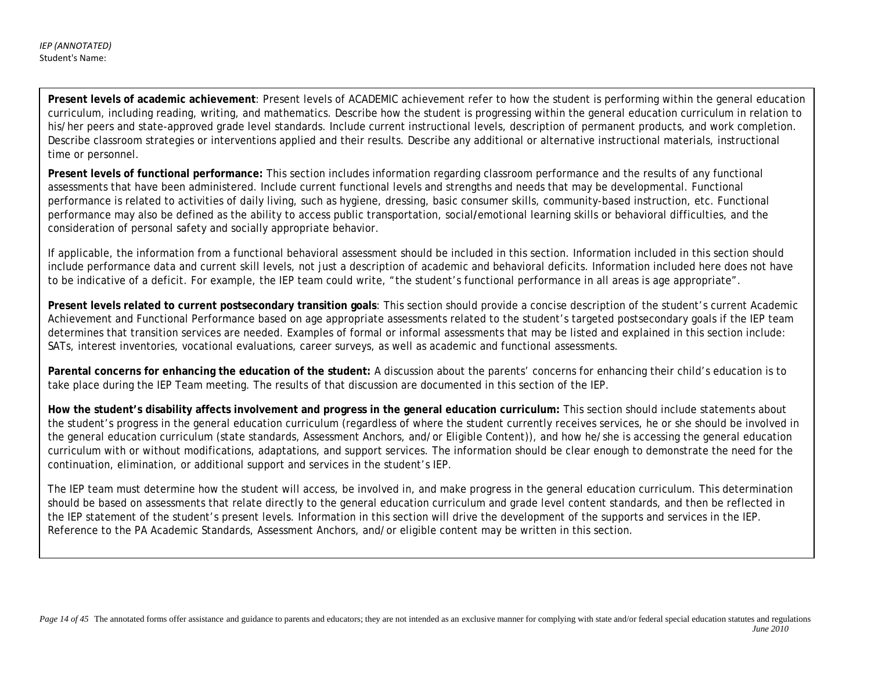*IEP (ANNOTATED)* Student's Name:

> **Present levels of academic achievement***:* Present levels of ACADEMIC achievement refer to how the student is performing within the general education curriculum, including reading, writing, and mathematics. Describe how the student is progressing within the general education curriculum in relation to his/her peers and state-approved grade level standards. Include current instructional levels, description of permanent products, and work completion. Describe classroom strategies or interventions applied and their results. Describe any additional or alternative instructional materials, instructional time or personnel.

**Present levels of functional performance:** This section includes information regarding classroom performance and the results of any functional assessments that have been administered. Include current functional levels and strengths and needs that may be developmental. Functional performance is related to activities of daily living, such as hygiene, dressing, basic consumer skills, community-based instruction, etc. Functional performance may also be defined as the ability to access public transportation, social**/**emotional learning skills or behavioral difficulties, and the consideration of personal safety and socially appropriate behavior.

If applicable, the information from a functional behavioral assessment should be included in this section. Information included in this section should include performance data and current skill levels, not just a description of academic and behavioral deficits. Information included here does not have to be indicative of a deficit. For example, the IEP team could write, "the student's functional performance in all areas is age appropriate".

**Present levels related to current postsecondary transition goals**: This section should provide a concise description of the student's current Academic Achievement and Functional Performance based on age appropriate assessments related to the student's targeted postsecondary goals if the IEP team determines that transition services are needed. Examples of formal or informal assessments that may be listed and explained in this section include: SATs, interest inventories, vocational evaluations, career surveys, as well as academic and functional assessments.

**Parental concerns for enhancing the education of the student:** A discussion about the parents' concerns for enhancing their child's education is to take place during the IEP Team meeting. The results of that discussion are documented in this section of the IEP.

**How the student's disability affects involvement and progress in the general education curriculum:** This section should include statements about the student's progress in the general education curriculum (regardless of where the student currently receives services, he or she should be involved in the general education curriculum (state standards, Assessment Anchors, and/or Eligible Content)), and how he/she is accessing the general education curriculum with or without modifications, adaptations, and support services. The information should be clear enough to demonstrate the need for the continuation, elimination, or additional support and services in the student's IEP.

The IEP team must determine how the student will access, be involved in, and make progress in the general education curriculum. This determination should be based on assessments that relate directly to the general education curriculum and grade level content standards, and then be reflected in the IEP statement of the student's present levels. Information in this section will drive the development of the supports and services in the IEP. Reference to the PA Academic Standards, Assessment Anchors, and/or eligible content may be written in this section.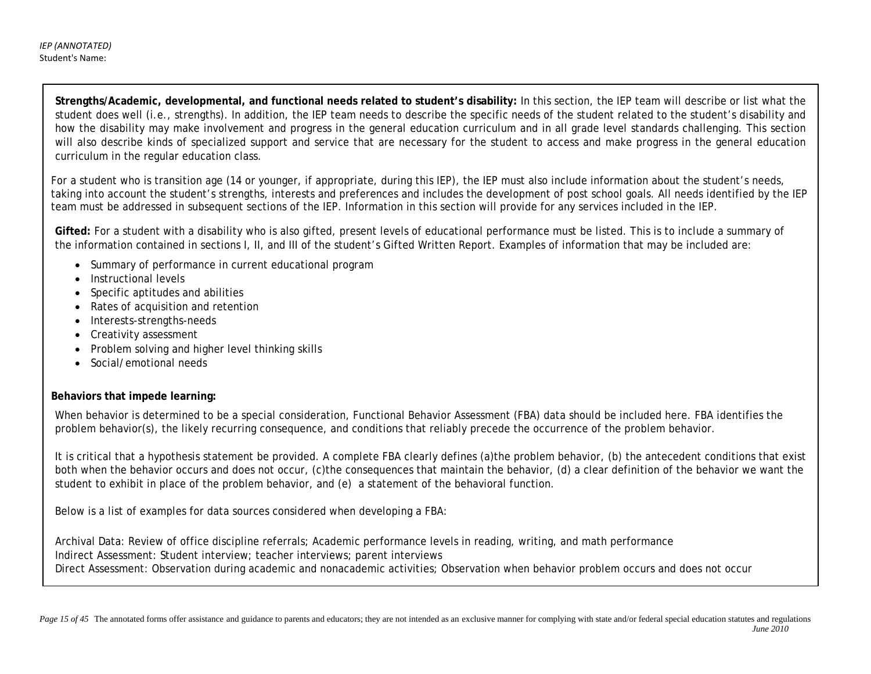**Strengths/Academic, developmental, and functional needs related to student's disability:** In this section, the IEP team will describe or list what the student does well (i.e., strengths). In addition, the IEP team needs to describe the specific needs of the student related to the student's disability and how the disability may make involvement and progress in the general education curriculum and in all grade level standards challenging. This section will also describe kinds of specialized support and service that are necessary for the student to access and make progress in the general education curriculum in the regular education class.

For a student who is transition age (14 or younger, if appropriate, during this IEP), the IEP must also include information about the student's needs, taking into account the student's strengths, interests and preferences and includes the development of post school goals. All needs identified by the IEP team must be addressed in subsequent sections of the IEP. Information in this section will provide for any services included in the IEP.

**Gifted:** For a student with a disability who is also gifted, present levels of educational performance must be listed. This is to include a summary of the information contained in sections I, II, and III of the student's Gifted Written Report. Examples of information that may be included are:

- Summary of performance in current educational program
- Instructional levels
- Specific aptitudes and abilities
- Rates of acquisition and retention
- Interests-strengths-needs
- Creativity assessment
- Problem solving and higher level thinking skills
- Social/emotional needs

## **Behaviors that impede learning:**

When behavior is determined to be a special consideration, Functional Behavior Assessment (FBA) data should be included here. FBA identifies the problem behavior(s), the likely recurring consequence, and conditions that reliably precede the occurrence of the problem behavior.

It is critical that a hypothesis statement be provided. A complete FBA clearly defines (a)the problem behavior, (b) the antecedent conditions that exist both when the behavior occurs and does not occur, (c)the consequences that maintain the behavior, (d) a clear definition of the behavior we want the student to exhibit in place of the problem behavior, and (e) a statement of the behavioral function.

Below is a list of examples for data sources considered when developing a FBA:

Archival Data: Review of office discipline referrals; Academic performance levels in reading, writing, and math performance Indirect Assessment: Student interview; teacher interviews; parent interviews Direct Assessment: Observation during academic and nonacademic activities; Observation when behavior problem occurs and does not occur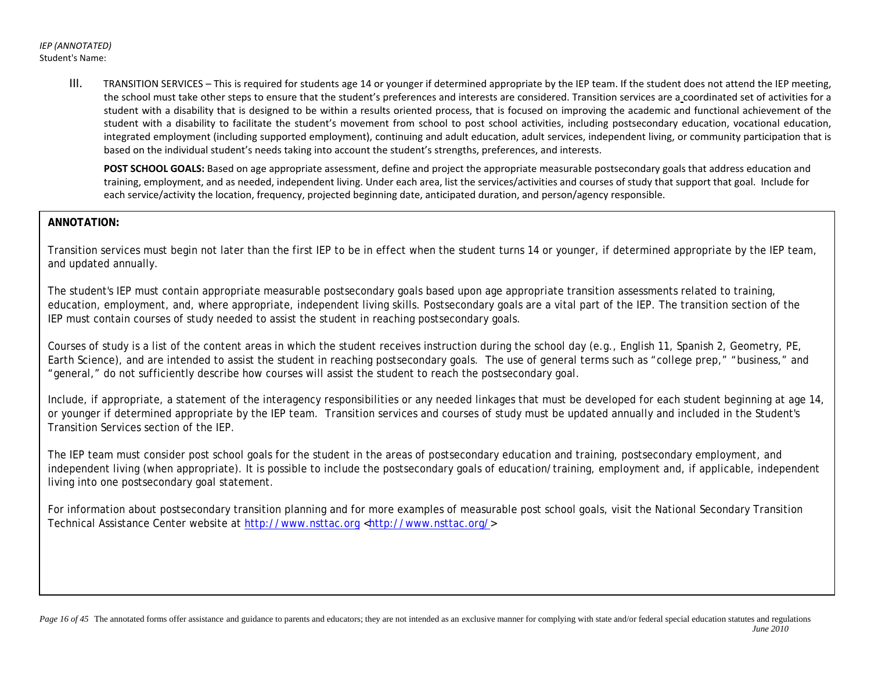III. TRANSITION SERVICES – This is required for students age 14 or younger if determined appropriate by the IEP team. If the student does not attend the IEP meeting, the school must take other steps to ensure that the student's preferences and interests are considered. Transition services are a coordinated set of activities for a student with a disability that is designed to be within a results oriented process, that is focused on improving the academic and functional achievement of the student with a disability to facilitate the student's movement from school to post school activities, including postsecondary education, vocational education, integrated employment (including supported employment), continuing and adult education, adult services, independent living, or community participation that is based on the individual student's needs taking into account the student's strengths, preferences, and interests.

POST SCHOOL GOALS: Based on age appropriate assessment, define and project the appropriate measurable postsecondary goals that address education and training, employment, and as needed, independent living. Under each area, list the services/activities and courses of study that support that goal. Include for each service/activity the location, frequency, projected beginning date, anticipated duration, and person/agency responsible.

## **ANNOTATION:**

Transition services must begin not later than the first IEP to be in effect when the student turns 14 or younger, if determined appropriate by the IEP team, and updated annually.

The student's IEP must contain appropriate measurable postsecondary goals based upon age appropriate transition assessments related to training, education, employment, and, where appropriate, independent living skills. Postsecondary goals are a vital part of the IEP. The transition section of the IEP must contain courses of study needed to assist the student in reaching postsecondary goals.

Courses of study is a list of the content areas in which the student receives instruction during the school day (e.g., English 11, Spanish 2, Geometry, PE, Earth Science), and are intended to assist the student in reaching postsecondary goals. The use of general terms such as "college prep," "business," and "general," do not sufficiently describe how courses will assist the student to reach the postsecondary goal.

Include, if appropriate, a statement of the interagency responsibilities or any needed linkages that must be developed for each student beginning at age 14, or younger if determined appropriate by the IEP team. Transition services and courses of study must be updated annually and included in the Student's Transition Services section of the IEP.

The IEP team must consider post school goals for the student in the areas of postsecondary education and training, postsecondary employment, and independent living (when appropriate). It is possible to include the postsecondary goals of education/training, employment and, if applicable, independent living into one postsecondary goal statement.

For information about postsecondary transition planning and for more examples of measurable post school goals, visit the National Secondary Transition Technical Assistance Center website at [http://www.nsttac.org <http://www.nsttac.org/>](http://www.nsttac.org/)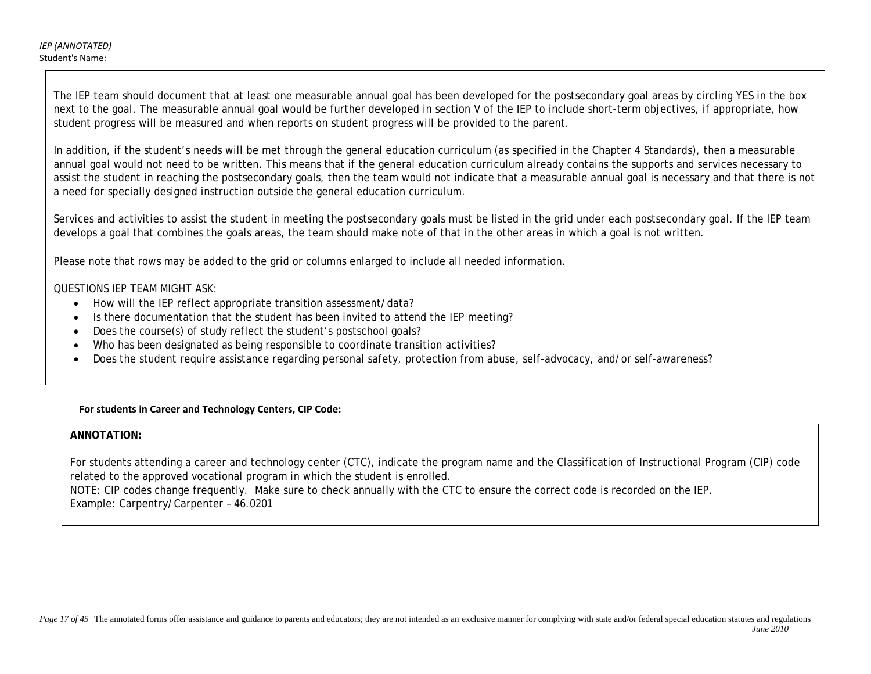The IEP team should document that at least one measurable annual goal has been developed for the postsecondary goal areas by circling YES in the box next to the goal. The measurable annual goal would be further developed in section V of the IEP to include short-term objectives, if appropriate, how student progress will be measured and when reports on student progress will be provided to the parent.

In addition, if the student's needs will be met through the general education curriculum (as specified in the Chapter 4 Standards), then a measurable annual goal would not need to be written. This means that if the general education curriculum already contains the supports and services necessary to assist the student in reaching the postsecondary goals, then the team would not indicate that a measurable annual goal is necessary and that there is not a need for specially designed instruction outside the general education curriculum.

Services and activities to assist the student in meeting the postsecondary goals must be listed in the grid under each postsecondary goal. If the IEP team develops a goal that combines the goals areas, the team should make note of that in the other areas in which a goal is not written.

Please note that rows may be added to the grid or columns enlarged to include all needed information.

## QUESTIONS IEP TEAM MIGHT ASK:

- How will the IEP reflect appropriate transition assessment/data?
- Is there documentation that the student has been invited to attend the IEP meeting?
- Does the course(s) of study reflect the student's postschool goals?
- Who has been designated as being responsible to coordinate transition activities?
- Does the student require assistance regarding personal safety, protection from abuse, self-advocacy, and/or self-awareness?

## **For students in Career and Technology Centers, CIP Code:**

## **ANNOTATION:**

For students attending a career and technology center (CTC), indicate the program name and the Classification of Instructional Program (CIP) code related to the approved vocational program in which the student is enrolled.

NOTE: CIP codes change frequently. Make sure to check annually with the CTC to ensure the correct code is recorded on the IEP. Example: Carpentry/Carpenter – 46.0201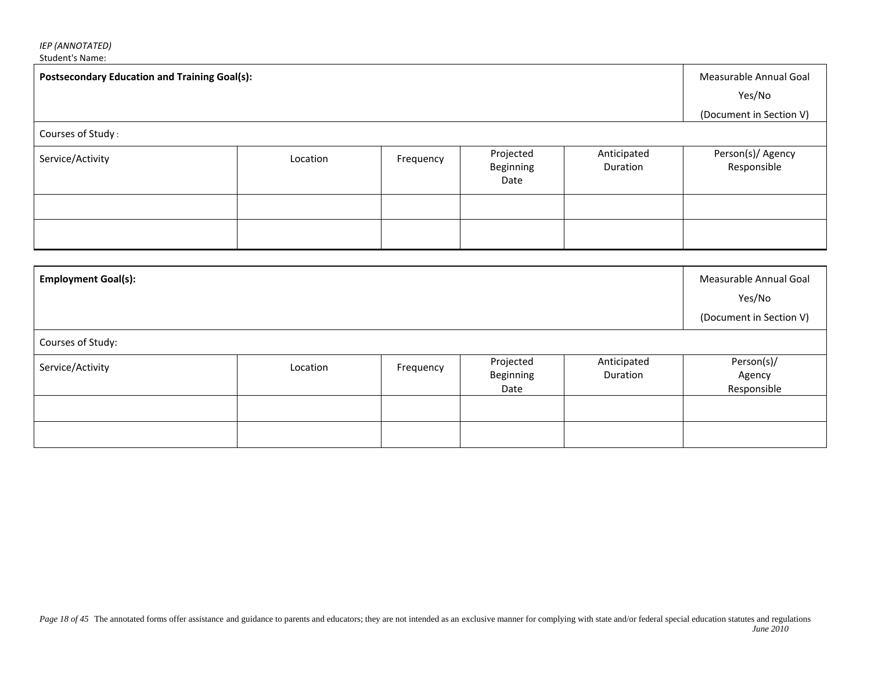# *IEP (ANNOTATED)*

Student's Name:

| <b>Postsecondary Education and Training Goal(s):</b><br>Courses of Study: |                                  |  |  |  | Measurable Annual Goal<br>Yes/No<br>(Document in Section V) |
|---------------------------------------------------------------------------|----------------------------------|--|--|--|-------------------------------------------------------------|
| Service/Activity                                                          | Person(s)/ Agency<br>Responsible |  |  |  |                                                             |
|                                                                           |                                  |  |  |  |                                                             |

| <b>Employment Goal(s):</b> |          |           |                                |                         | Measurable Annual Goal<br>Yes/No<br>(Document in Section V) |
|----------------------------|----------|-----------|--------------------------------|-------------------------|-------------------------------------------------------------|
| Courses of Study:          |          |           |                                |                         |                                                             |
| Service/Activity           | Location | Frequency | Projected<br>Beginning<br>Date | Anticipated<br>Duration | Person(s)/<br>Agency<br>Responsible                         |
|                            |          |           |                                |                         |                                                             |
|                            |          |           |                                |                         |                                                             |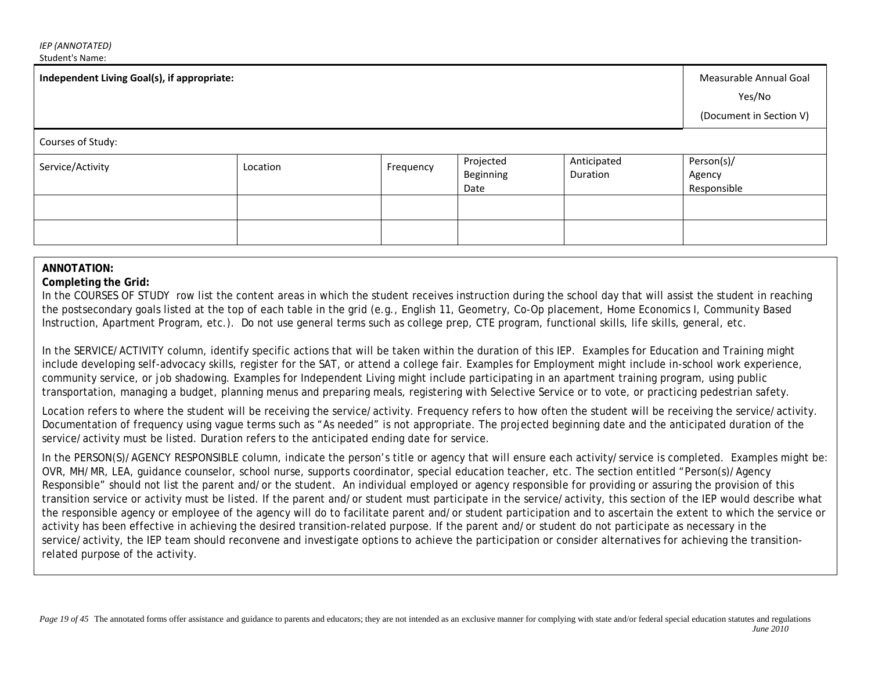| Independent Living Goal(s), if appropriate: |          |           |                                |                         | Measurable Annual Goal<br>Yes/No<br>(Document in Section V) |
|---------------------------------------------|----------|-----------|--------------------------------|-------------------------|-------------------------------------------------------------|
| Courses of Study:                           |          |           |                                |                         |                                                             |
| Service/Activity                            | Location | Frequency | Projected<br>Beginning<br>Date | Anticipated<br>Duration | Person(s)/<br>Agency<br>Responsible                         |
|                                             |          |           |                                |                         |                                                             |
|                                             |          |           |                                |                         |                                                             |

## **ANNOTATION:**

### **Completing the Grid:**

In the COURSES OF STUDY row list the content areas in which the student receives instruction during the school day that will assist the student in reaching the postsecondary goals listed at the top of each table in the grid (e.g., English 11, Geometry, Co-Op placement, Home Economics I, Community Based Instruction, Apartment Program, etc.). Do not use general terms such as college prep, CTE program, functional skills, life skills, general, etc.

In the SERVICE/ACTIVITY column, identify specific actions that will be taken within the duration of this IEP. Examples for Education and Training might include developing self-advocacy skills, register for the SAT, or attend a college fair. Examples for Employment might include in-school work experience, community service, or job shadowing. Examples for Independent Living might include participating in an apartment training program, using public transportation, managing a budget, planning menus and preparing meals, registering with Selective Service or to vote, or practicing pedestrian safety.

Location refers to where the student will be receiving the service/activity. Frequency refers to how often the student will be receiving the service/activity. Documentation of frequency using vague terms such as "As needed" is not appropriate. The projected beginning date and the anticipated duration of the service/activity must be listed. Duration refers to the anticipated ending date for service.

In the PERSON(S)/AGENCY RESPONSIBLE column, indicate the person's title or agency that will ensure each activity/service is completed. Examples might be: OVR, MH/MR, LEA, guidance counselor, school nurse, supports coordinator, special education teacher, etc. The section entitled "Person(s)/Agency Responsible" should not list the parent and/or the student. An individual employed or agency responsible for providing or assuring the provision of this transition service or activity must be listed. If the parent and/or student must participate in the service/activity, this section of the IEP would describe what the responsible agency or employee of the agency will do to facilitate parent and/or student participation and to ascertain the extent to which the service or activity has been effective in achieving the desired transition-related purpose. If the parent and/or student do not participate as necessary in the service/activity, the IEP team should reconvene and investigate options to achieve the participation or consider alternatives for achieving the transitionrelated purpose of the activity.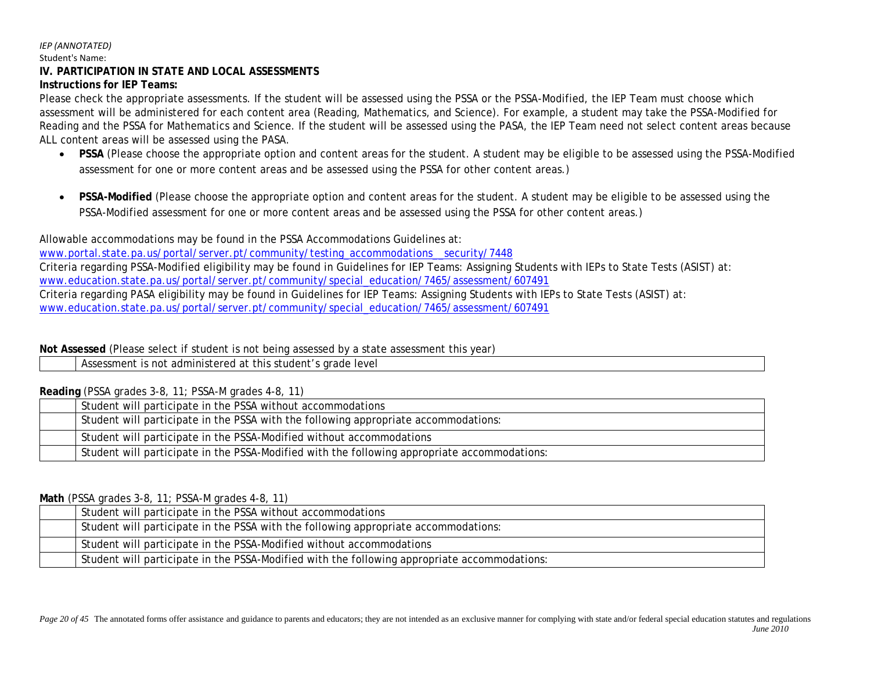#### *IEP (ANNOTATED)* Student's Name:

## **IV. PARTICIPATION IN STATE AND LOCAL ASSESSMENTS**

## **Instructions for IEP Teams:**

Please check the appropriate assessments. If the student will be assessed using the PSSA or the PSSA-Modified, the IEP Team must choose which assessment will be administered for each content area (Reading, Mathematics, and Science). For example, a student may take the PSSA-Modified for Reading and the PSSA for Mathematics and Science. If the student will be assessed using the PASA, the IEP Team need not select content areas because ALL content areas will be assessed using the PASA.

- **PSSA** (Please choose the appropriate option and content areas for the student. A student may be eligible to be assessed using the PSSA-Modified assessment for one or more content areas and be assessed using the PSSA for other content areas.)
- **PSSA-Modified** (Please choose the appropriate option and content areas for the student. A student may be eligible to be assessed using the PSSA-Modified assessment for one or more content areas and be assessed using the PSSA for other content areas.)

Allowable accommodations may be found in the PSSA Accommodations Guidelines at:

www.portal.state.pa.us/portal/server.pt/community/testing\_accommodations\_security/7448 Criteria regarding PSSA-Modified eligibility may be found in Guidelines for IEP Teams: Assigning Students with IEPs to State Tests (ASIST) at: [www.education.state.pa.us/portal/server.pt/community/special\\_education/7465/assessment/607491](http://www.education.state.pa.us/portal/server.pt/community/special_education/7465/assessment/607491) Criteria regarding PASA eligibility may be found in Guidelines for IEP Teams: Assigning Students with IEPs to State Tests (ASIST) at: [www.education.state.pa.us/portal/server.pt/community/special\\_education/7465/assessment/607491](http://www.education.state.pa.us/portal/server.pt/community/special_education/7465/assessment/607491)

## **Not Assessed** (Please select if student is not being assessed by a state assessment this year)

Assessment is not administered at this student's grade level

## **Reading** (PSSA grades 3-8, 11; PSSA-M grades 4-8, 11)

| Student will participate in the PSSA without accommodations                                  |
|----------------------------------------------------------------------------------------------|
| Student will participate in the PSSA with the following appropriate accommodations:          |
| Student will participate in the PSSA-Modified without accommodations                         |
| Student will participate in the PSSA-Modified with the following appropriate accommodations: |

## **Math** (PSSA grades 3-8, 11; PSSA-M grades 4-8, 11)

| Student will participate in the PSSA without accommodations                                  |
|----------------------------------------------------------------------------------------------|
| Student will participate in the PSSA with the following appropriate accommodations:          |
| Student will participate in the PSSA-Modified without accommodations                         |
| Student will participate in the PSSA-Modified with the following appropriate accommodations: |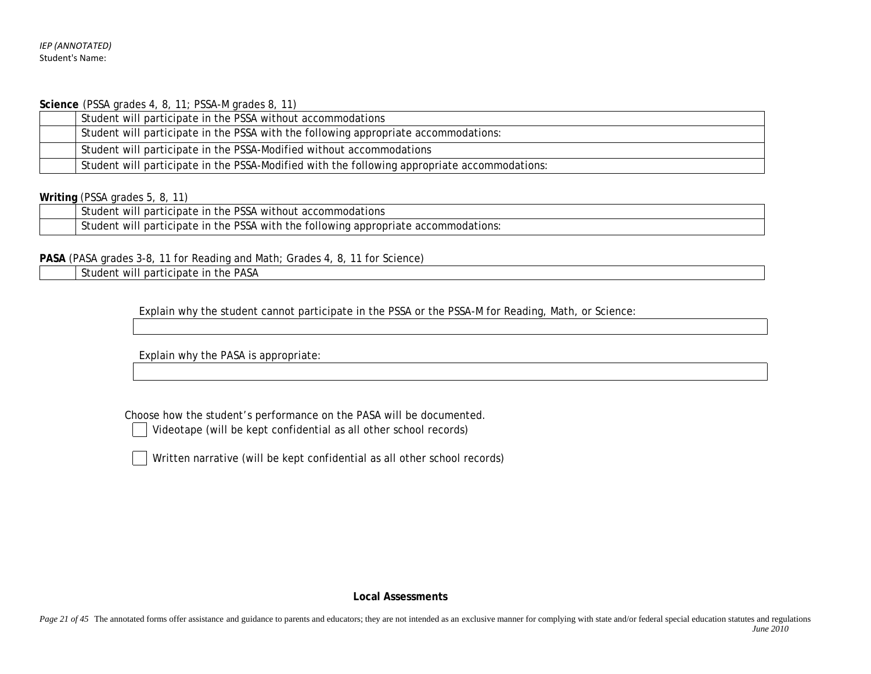**Science** (PSSA grades 4, 8, 11; PSSA-M grades 8, 11)

|  | Student will participate in the PSSA without accommodations                                  |
|--|----------------------------------------------------------------------------------------------|
|  | Student will participate in the PSSA with the following appropriate accommodations:          |
|  | Student will participate in the PSSA-Modified without accommodations                         |
|  | Student will participate in the PSSA-Modified with the following appropriate accommodations: |

## **Writing** (PSSA grades 5, 8, 11)

| <b>PSSA</b><br>$\sim$<br>St<br>A without accommodations.<br>the<br>participate<br>. IP<br>าt will<br>udent                                                          |
|---------------------------------------------------------------------------------------------------------------------------------------------------------------------|
| <b>PSSA</b><br>$\sim$<br>with the<br>N.<br>accomm<br>the<br>ın<br>tollowing<br>ations.<br>participate<br><sup>→+</sup> Will ⊾<br>udent<br>' appropriate<br>commodat |

**PASA** (PASA grades 3-8, 11 for Reading and Math; Grades 4, 8, 11 for Science)

Student will participate in the PASA

Explain why the student cannot participate in the PSSA or the PSSA-M for Reading, Math, or Science:

Explain why the PASA is appropriate:

Choose how the student's performance on the PASA will be documented.

Videotape (will be kept confidential as all other school records)

Written narrative (will be kept confidential as all other school records)

**Local Assessments**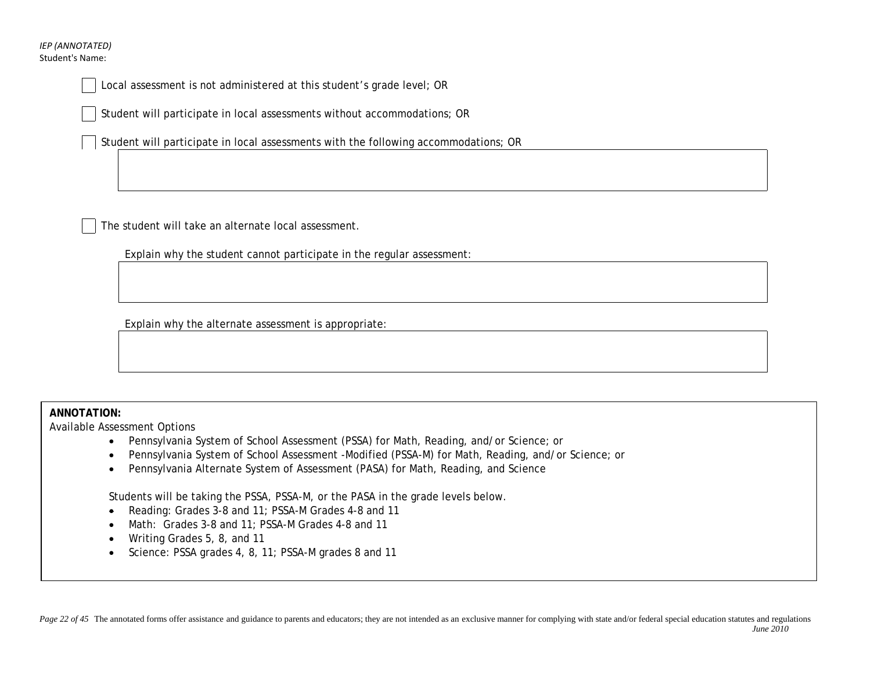### *IEP (ANNOTATED)* Student's Name:

Local assessment is not administered at this student's grade level; OR

Student will participate in local assessments without accommodations; OR

Student will participate in local assessments with the following accommodations; OR

The student will take an alternate local assessment.

Explain why the student cannot participate in the regular assessment:

Explain why the alternate assessment is appropriate:

## **ANNOTATION:**

Available Assessment Options

- Pennsylvania System of School Assessment (PSSA) for Math, Reading, and/or Science; or
- Pennsylvania System of School Assessment -Modified (PSSA-M) for Math, Reading, and/or Science; or
- Pennsylvania Alternate System of Assessment (PASA) for Math, Reading, and Science

Students will be taking the PSSA, PSSA-M, or the PASA in the grade levels below.

- Reading: Grades 3-8 and 11; PSSA-M Grades 4-8 and 11
- Math: Grades 3-8 and 11; PSSA-M Grades 4-8 and 11
- Writing Grades 5, 8, and 11
- Science: PSSA grades 4, 8, 11; PSSA-M grades 8 and 11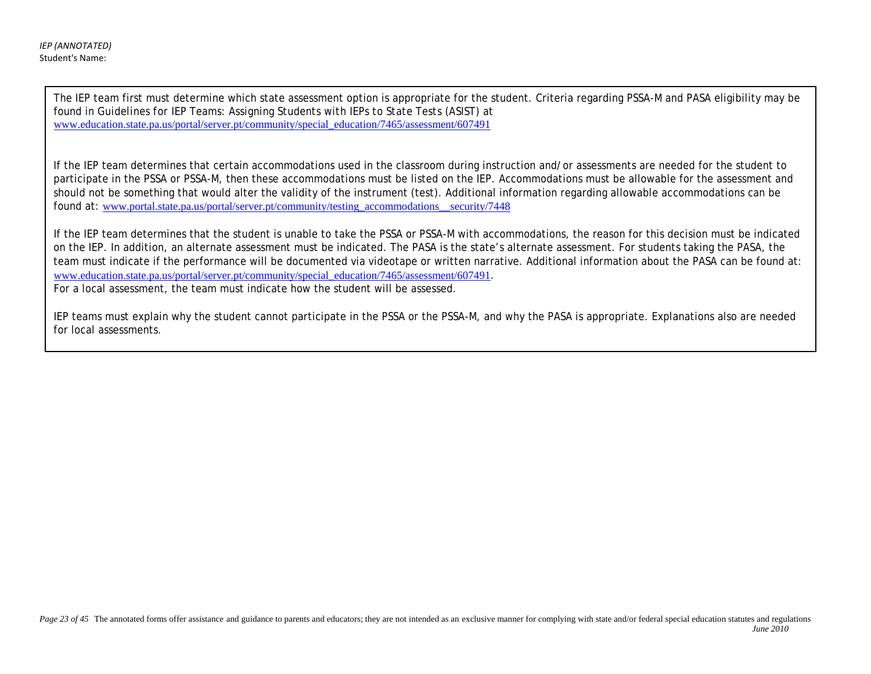The IEP team first must determine which state assessment option is appropriate for the student. Criteria regarding PSSA-M and PASA eligibility may be found in *Guidelines for IEP Teams: Assigning Students with IEPs to State Tests (ASIST)* at [www.education.state.pa.us/portal/server.pt/community/special\\_education/7465/assessment/607491](http://www.education.state.pa.us/portal/server.pt/community/special_education/7465/assessment/607491) 

If the IEP team determines that certain accommodations used in the classroom during instruction and/or assessments are needed for the student to participate in the PSSA or PSSA-M, then these accommodations must be listed on the IEP. Accommodations must be allowable for the assessment and should not be something that would alter the validity of the instrument (test). Additional information regarding allowable accommodations can be found at: [www.portal.state.pa.us/portal/server.pt/community/testing\\_accommodations\\_\\_security/7448](http://www.portal.state.pa.us/portal/server.pt/community/testing_accommodations__security/7448)

If the IEP team determines that the student is unable to take the PSSA or PSSA-M with accommodations, the reason for this decision must be indicated on the IEP. In addition, an alternate assessment must be indicated. The PASA is the state's alternate assessment. For students taking the PASA, the team must indicate if the performance will be documented via videotape or written narrative. Additional information about the PASA can be found at: [www.education.state.pa.us/portal/server.pt/community/special\\_education/7465/assessment/607491](http://www.education.state.pa.us/portal/server.pt/community/special_education/7465/assessment/607491). For a local assessment, the team must indicate how the student will be assessed.

IEP teams must explain why the student cannot participate in the PSSA or the PSSA-M, and why the PASA is appropriate. Explanations also are needed for local assessments.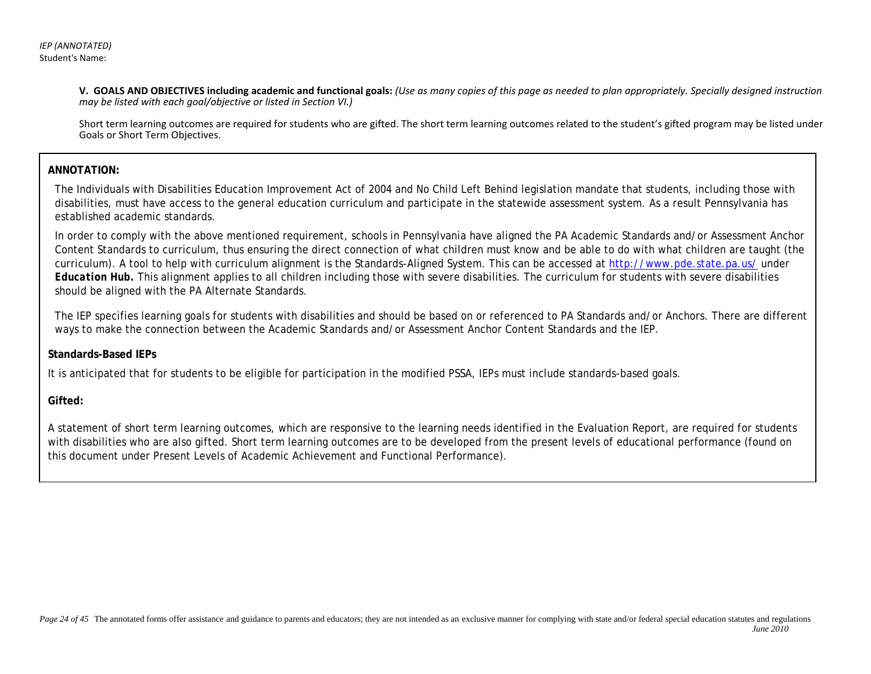**V. GOALS AND OBJECTIVES including academic and functional goals:** *(Use as many copies of this page as needed to plan appropriately. Specially designed instruction may be listed with each goal/objective or listed in Section VI.)* 

Short term learning outcomes are required for students who are gifted. The short term learning outcomes related to the student's gifted program may be listed under Goals or Short Term Objectives.

## **ANNOTATION:**

The Individuals with Disabilities Education Improvement Act of 2004 and No Child Left Behind legislation mandate that students, including those with disabilities, must have access to the general education curriculum and participate in the statewide assessment system. As a result Pennsylvania has established academic standards.

In order to comply with the above mentioned requirement, schools in Pennsylvania have aligned the PA Academic Standards and/or Assessment Anchor Content Standards to curriculum, thus ensuring the direct connection of what children must know and be able to do with what children are taught (the curriculum). A tool to help with curriculum alignment is the Standards-Aligned System. This can be accessed at<http://www.pde.state.pa.us/> under *Education Hub.* This alignment applies to all children including those with severe disabilities. The curriculum for students with severe disabilities should be aligned with the PA Alternate Standards.

The IEP specifies learning goals for students with disabilities and should be based on or referenced to PA Standards and/or Anchors. There are different ways to make the connection between the Academic Standards and/or Assessment Anchor Content Standards and the IEP.

## **Standards-Based IEPs**

It is anticipated that for students to be eligible for participation in the modified PSSA, IEPs must include standards-based goals.

## **Gifted:**

A statement of short term learning outcomes, which are responsive to the learning needs identified in the Evaluation Report, are required for students with disabilities who are also gifted. Short term learning outcomes are to be developed from the present levels of educational performance (found on this document under Present Levels of Academic Achievement and Functional Performance).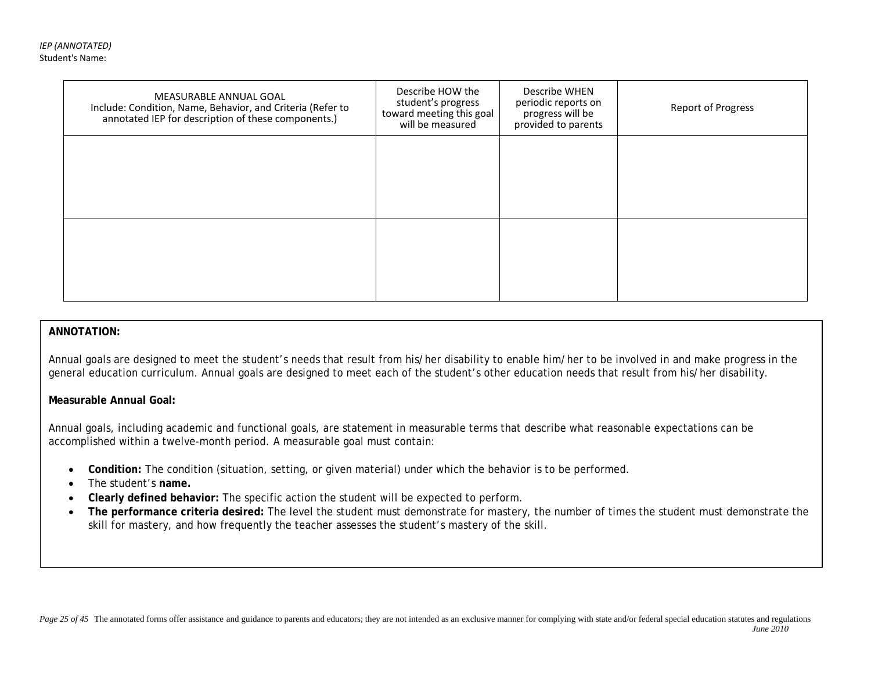| MEASURABLE ANNUAL GOAL<br>Include: Condition, Name, Behavior, and Criteria (Refer to<br>annotated IEP for description of these components.) | Describe HOW the<br>student's progress<br>toward meeting this goal<br>will be measured | Describe WHEN<br>periodic reports on<br>progress will be<br>provided to parents | <b>Report of Progress</b> |
|---------------------------------------------------------------------------------------------------------------------------------------------|----------------------------------------------------------------------------------------|---------------------------------------------------------------------------------|---------------------------|
|                                                                                                                                             |                                                                                        |                                                                                 |                           |
|                                                                                                                                             |                                                                                        |                                                                                 |                           |
|                                                                                                                                             |                                                                                        |                                                                                 |                           |

### **ANNOTATION:**

Annual goals are designed to meet the student's needs that result from his/her disability to enable him/her to be involved in and make progress in the general education curriculum. Annual goals are designed to meet each of the student's other education needs that result from his/her disability.

### **Measurable Annual Goal:**

Annual goals, including academic and functional goals, are statement in measurable terms that describe what reasonable expectations can be accomplished within a twelve-month period. A measurable goal must contain:

- **Condition:** The condition (situation, setting, or given material) under which the behavior is to be performed.
- The student's **name.**
- **Clearly defined behavior:** The specific action the student will be expected to perform.
- **The performance criteria desired:** The level the student must demonstrate for mastery, the number of times the student must demonstrate the skill for mastery, and how frequently the teacher assesses the student's mastery of the skill.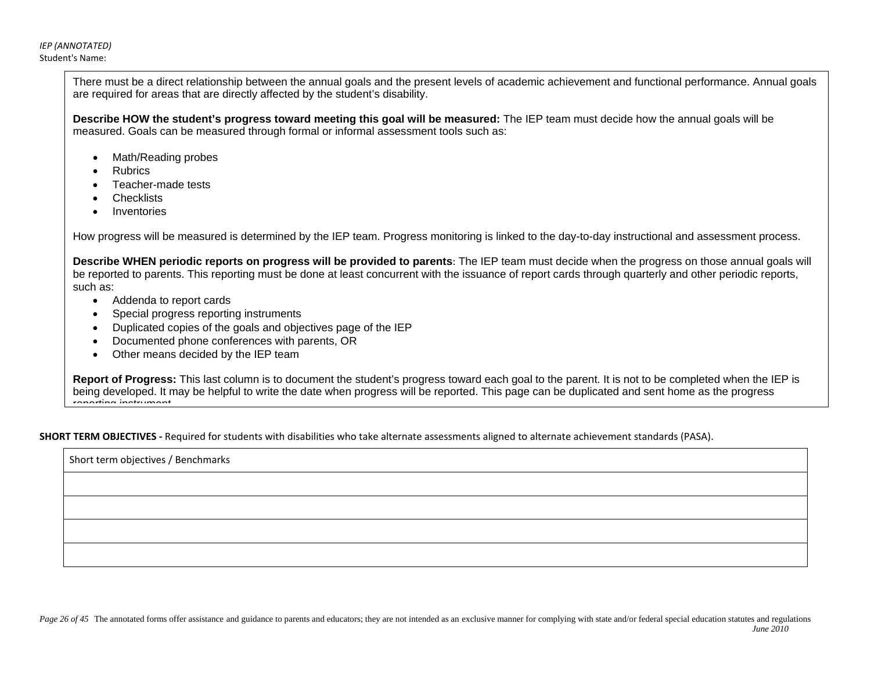*IEP (ANNOTATED)* Student's Name:

> There must be a direct relationship between the annual goals and the present levels of academic achievement and functional performance. Annual goals are required for areas that are directly affected by the student's disability.

**Describe HOW the student's progress toward meeting this goal will be measured:** The IEP team must decide how the annual goals will be measured. Goals can be measured through formal or informal assessment tools such as:

- Math/Reading probes
- **Rubrics**
- Teacher-made tests
- **Checklists**
- Inventories

How progress will be measured is determined by the IEP team. Progress monitoring is linked to the day-to-day instructional and assessment process.

**Describe WHEN periodic reports on progress will be provided to parents**: The IEP team must decide when the progress on those annual goals will be reported to parents. This reporting must be done at least concurrent with the issuance of report cards through quarterly and other periodic reports, such as:

- Addenda to report cards
- Special progress reporting instruments
- Duplicated copies of the goals and objectives page of the IEP
- Documented phone conferences with parents, OR
- Other means decided by the IEP team

**Report of Progress:** This last column is to document the student's progress toward each goal to the parent. It is not to be completed when the IEP is being developed. It may be helpful to write the date when progress will be reported. This page can be duplicated and sent home as the progress reporting instrument

**SHORT TERM OBJECTIVES -** Required for students with disabilities who take alternate assessments aligned to alternate achievement standards (PASA).

Short term objectives / Benchmarks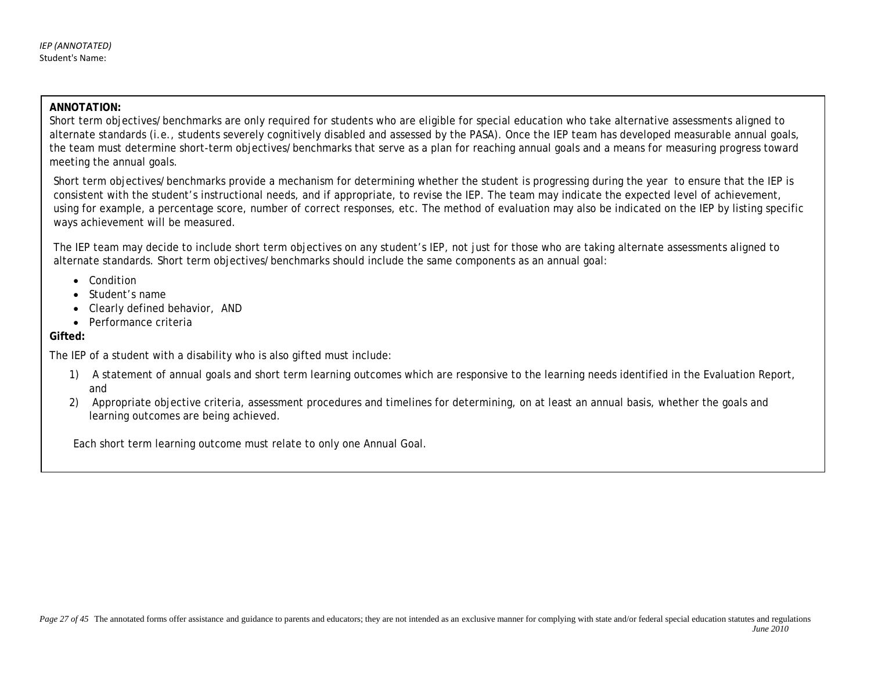## **ANNOTATION:**

Short term objectives/benchmarks are only required for students who are eligible for special education who take alternative assessments aligned to alternate standards (i.e., students severely cognitively disabled and assessed by the PASA). Once the IEP team has developed measurable annual goals, the team must determine short-term objectives/benchmarks that serve as a plan for reaching annual goals and a means for measuring progress toward meeting the annual goals.

Short term objectives/benchmarks provide a mechanism for determining whether the student is progressing during the year to ensure that the IEP is consistent with the student's instructional needs, and if appropriate, to revise the IEP. The team may indicate the expected level of achievement, using for example, a percentage score, number of correct responses, etc. The method of evaluation may also be indicated on the IEP by listing specific ways achievement will be measured.

The IEP team may decide to include short term objectives on any student's IEP, not just for those who are taking alternate assessments aligned to alternate standards. Short term objectives/benchmarks should include the same components as an annual goal:

- Condition
- Student's name
- Clearly defined behavior, AND
- Performance criteria

# **Gifted:**

The IEP of a student with a disability who is also gifted must include:

- 1) A statement of annual goals and short term learning outcomes which are responsive to the learning needs identified in the Evaluation Report, and
- 2) Appropriate objective criteria, assessment procedures and timelines for determining, on at least an annual basis, whether the goals and learning outcomes are being achieved.

Each short term learning outcome must relate to only one Annual Goal.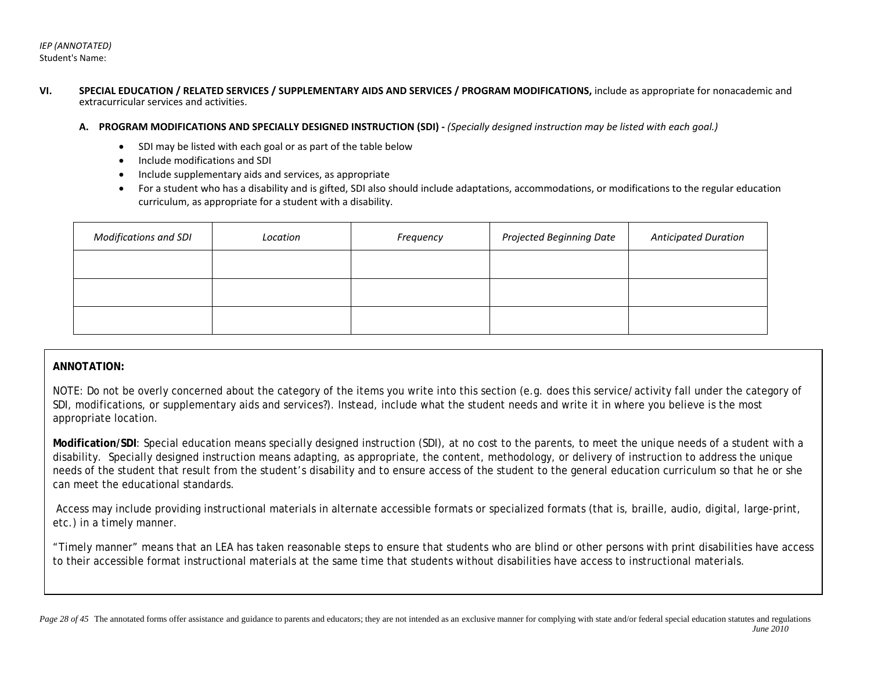- **VI. SPECIAL EDUCATION / RELATED SERVICES / SUPPLEMENTARY AIDS AND SERVICES / PROGRAM MODIFICATIONS,** include as appropriate for nonacademic and extracurricular services and activities.
	- **A. PROGRAM MODIFICATIONS AND SPECIALLY DESIGNED INSTRUCTION (SDI)** *(Specially designed instruction may be listed with each goal.)*
		- SDI may be listed with each goal or as part of the table below
		- Include modifications and SDI
		- Include supplementary aids and services, as appropriate
		- For a student who has a disability and is gifted, SDI also should include adaptations, accommodations, or modifications to the regular education curriculum, as appropriate for a student with a disability.

| <b>Modifications and SDI</b> | Location | Frequency | Projected Beginning Date | <b>Anticipated Duration</b> |
|------------------------------|----------|-----------|--------------------------|-----------------------------|
|                              |          |           |                          |                             |
|                              |          |           |                          |                             |
|                              |          |           |                          |                             |

### **ANNOTATION:**

NOTE: Do not be overly concerned about the category of the items you write into this section (e.g. does this service/activity fall under the category of SDI, modifications, or supplementary aids and services?). Instead, include what the student needs and write it in where you believe is the most appropriate location.

**Modification/SDI**: Special education means specially designed instruction (SDI), at no cost to the parents, to meet the unique needs of a student with a disability. Specially designed instruction means adapting, as appropriate, the content, methodology, or delivery of instruction to address the unique needs of the student that result from the student's disability and to ensure access of the student to the general education curriculum so that he or she can meet the educational standards.

Access may include providing instructional materials in alternate accessible formats or specialized formats (that is, braille, audio, digital, large-print, etc.) in a timely manner.

"Timely manner" means that an LEA has taken reasonable steps to ensure that students who are blind or other persons with print disabilities have access to their accessible format instructional materials at the same time that students without disabilities have access to instructional materials.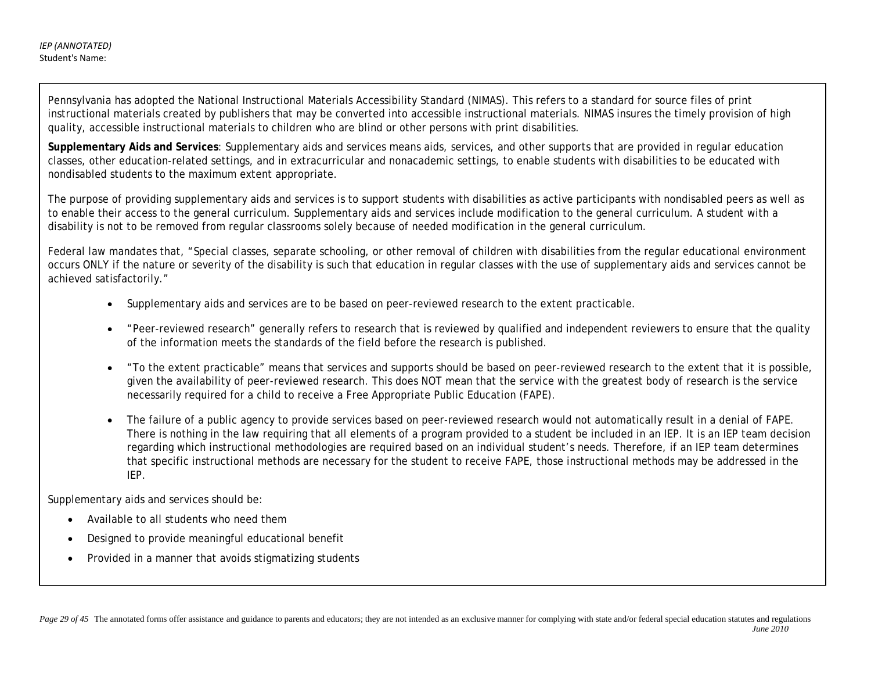Pennsylvania has adopted the National Instructional Materials Accessibility Standard (NIMAS). This refers to a standard for source files of print instructional materials created by publishers that may be converted into accessible instructional materials. NIMAS insures the timely provision of high quality, accessible instructional materials to children who are blind or other persons with print disabilities.

**Supplementary Aids and Services**: Supplementary aids and services means aids, services, and other supports that are provided in regular education classes, other education-related settings, and in extracurricular and nonacademic settings, to enable students with disabilities to be educated with nondisabled students to the maximum extent appropriate.

The purpose of providing supplementary aids and services is to support students with disabilities as active participants with nondisabled peers as well as to enable their access to the general curriculum. Supplementary aids and services include modification to the general curriculum. A student with a disability is not to be removed from regular classrooms solely because of needed modification in the general curriculum.

Federal law mandates that, "Special classes, separate schooling, or other removal of children with disabilities from the regular educational environment occurs ONLY if the nature or severity of the disability is such that education in regular classes with the use of supplementary aids and services cannot be achieved satisfactorily."

- Supplementary aids and services are to be based on peer-reviewed research to the extent practicable.
- "Peer-reviewed research" generally refers to research that is reviewed by qualified and independent reviewers to ensure that the quality of the information meets the standards of the field before the research is published.
- "To the extent practicable" means that services and supports should be based on peer-reviewed research to the extent that it is possible, given the availability of peer-reviewed research. This does NOT mean that the service with the greatest body of research is the service necessarily required for a child to receive a Free Appropriate Public Education (FAPE).
- The failure of a public agency to provide services based on peer-reviewed research would not automatically result in a denial of FAPE. There is nothing in the law requiring that all elements of a program provided to a student be included in an IEP. It is an IEP team decision regarding which instructional methodologies are required based on an individual student's needs. Therefore, if an IEP team determines that specific instructional methods are necessary for the student to receive FAPE, those instructional methods may be addressed in the IEP.

Supplementary aids and services should be:

- Available to all students who need them
- Designed to provide meaningful educational benefit
- Provided in a manner that avoids stigmatizing students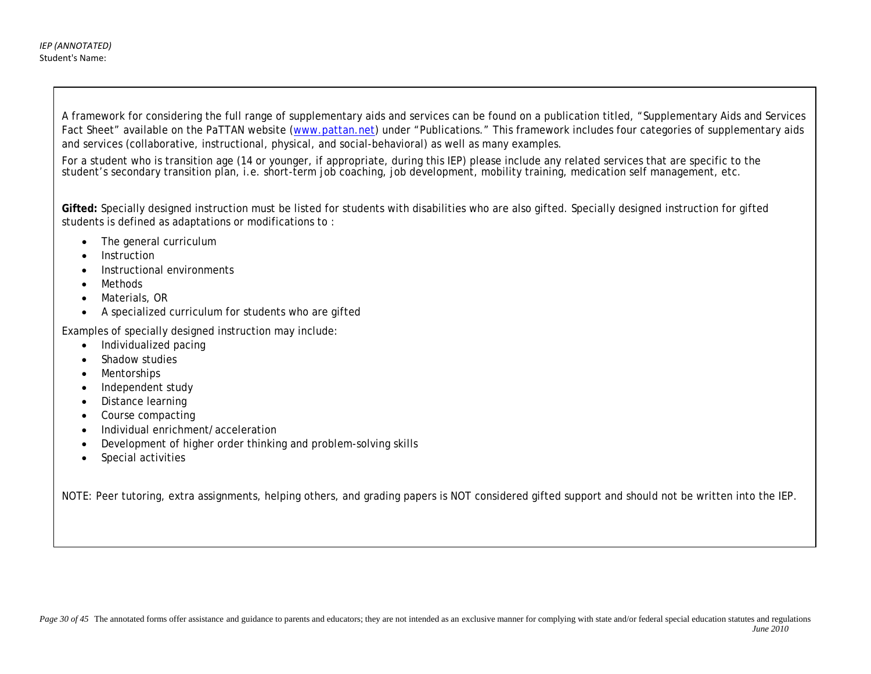Fact Sheet" available on the PaTTAN website [\(www.pattan.net\)](http://www.pattan.net/) under "Publications." This framework includes four categories of supplementary aids and services (collaborative, instructional, physical, and social-behavioral) as well as many examples. A framework for considering the full range of supplementary aids and services can be found on a publication titled, "Supplementary Aids and Services

For a student who is transition age (14 or younger, if appropriate, during this IEP) please include any related services that are specific to the student's secondary transition plan, i.e. short-term job coaching, job development, mobility training, medication self management, etc. For a student who is transition age (14 or younger, if appropriate, during this IEP) please include any related services that are specific to the student's secondary transition plan, i.e. short-term job coaching, job development, mobility training, medication self management, etc.

Gifted: Specially designed instruction must be listed for students with disabilities who are also gifted. Specially designed instruction for gifted students is defined as adaptations or modifications to :  $\frac{d}{dt}$ 

- The general curriculum
	- **Instruction**
	- Instructional environments
	- Methods
	- Materials, OR
	- A specialized curriculum for students who are gifted

Examples of specially designed instruction may include:

- Individualized pacing
- Shadow studies
- Mentorships
- Independent study
- Distance learning
- Course compacting
- Individual enrichment/acceleration
- Development of higher order thinking and problem-solving skills
- Special activities

NOTE: Peer tutoring, extra assignments, helping others, and grading papers is NOT considered gifted support and should not be written into the IEP.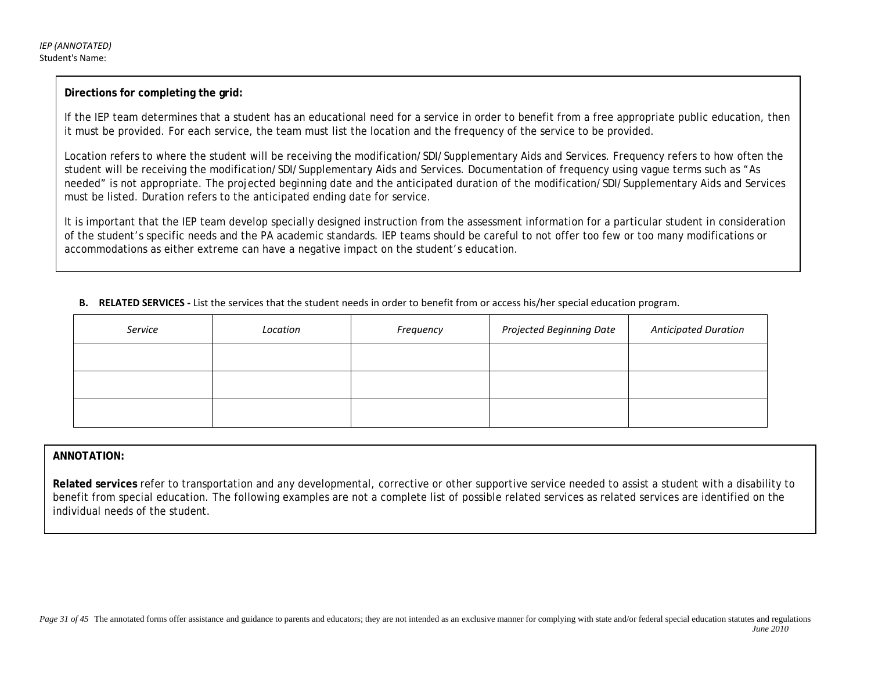## **Directions for completing the grid:**

If the IEP team determines that a student has an educational need for a service in order to benefit from a free appropriate public education, then it must be provided. For each service, the team must list the location and the frequency of the service to be provided.

Location refers to where the student will be receiving the modification/SDI/Supplementary Aids and Services. Frequency refers to how often the student will be receiving the modification/SDI/Supplementary Aids and Services. Documentation of frequency using vague terms such as "As needed" is not appropriate. The projected beginning date and the anticipated duration of the modification/SDI/Supplementary Aids and Services must be listed. Duration refers to the anticipated ending date for service.

It is important that the IEP team develop specially designed instruction from the assessment information for a particular student in consideration of the student's specific needs and the PA academic standards. IEP teams should be careful to not offer too few or too many modifications or accommodations as either extreme can have a negative impact on the student's education.

**B. RELATED SERVICES -** List the services that the student needs in order to benefit from or access his/her special education program.

| Service | Location | Frequency | Projected Beginning Date | <b>Anticipated Duration</b> |
|---------|----------|-----------|--------------------------|-----------------------------|
|         |          |           |                          |                             |
|         |          |           |                          |                             |
|         |          |           |                          |                             |

## **ANNOTATION:**

**Related services** refer to transportation and any developmental, corrective or other supportive service needed to assist a student with a disability to benefit from special education. The following examples are not a complete list of possible related services as related services are identified on the individual needs of the student.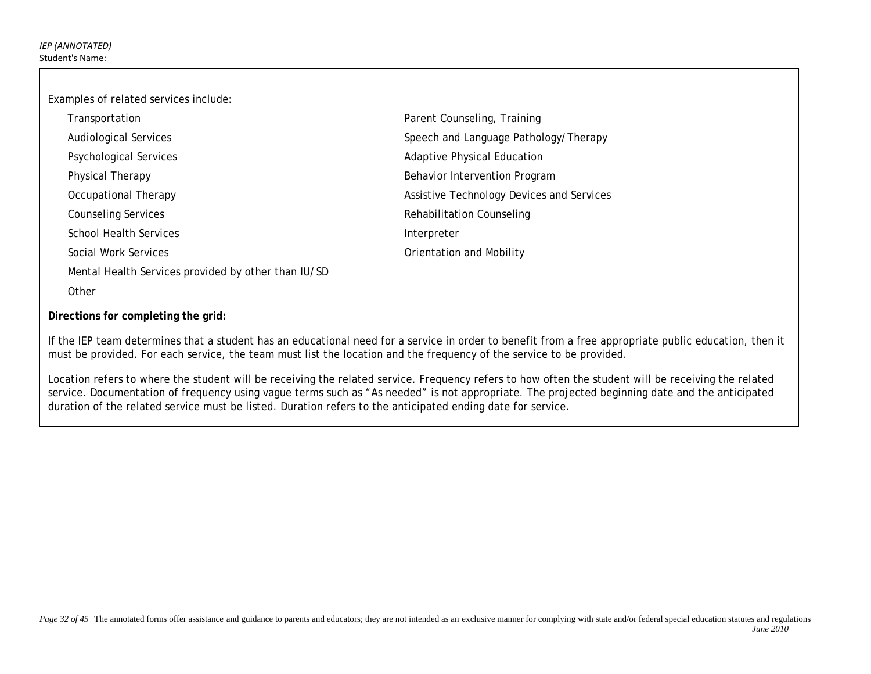Examples of related services include:

| Transportation                                      | Parent Counseling, Training               |
|-----------------------------------------------------|-------------------------------------------|
| <b>Audiological Services</b>                        | Speech and Language Pathology/Therapy     |
| <b>Psychological Services</b>                       | <b>Adaptive Physical Education</b>        |
| Physical Therapy                                    | Behavior Intervention Program             |
| Occupational Therapy                                | Assistive Technology Devices and Services |
| <b>Counseling Services</b>                          | Rehabilitation Counseling                 |
| School Health Services                              | Interpreter                               |
| Social Work Services                                | Orientation and Mobility                  |
| Mental Health Services provided by other than IU/SD |                                           |
| Other                                               |                                           |

## **Directions for completing the grid:**

If the IEP team determines that a student has an educational need for a service in order to benefit from a free appropriate public education, then it must be provided. For each service, the team must list the location and the frequency of the service to be provided.

Location refers to where the student will be receiving the related service. Frequency refers to how often the student will be receiving the related service. Documentation of frequency using vague terms such as "As needed" is not appropriate. The projected beginning date and the anticipated duration of the related service must be listed. Duration refers to the anticipated ending date for service.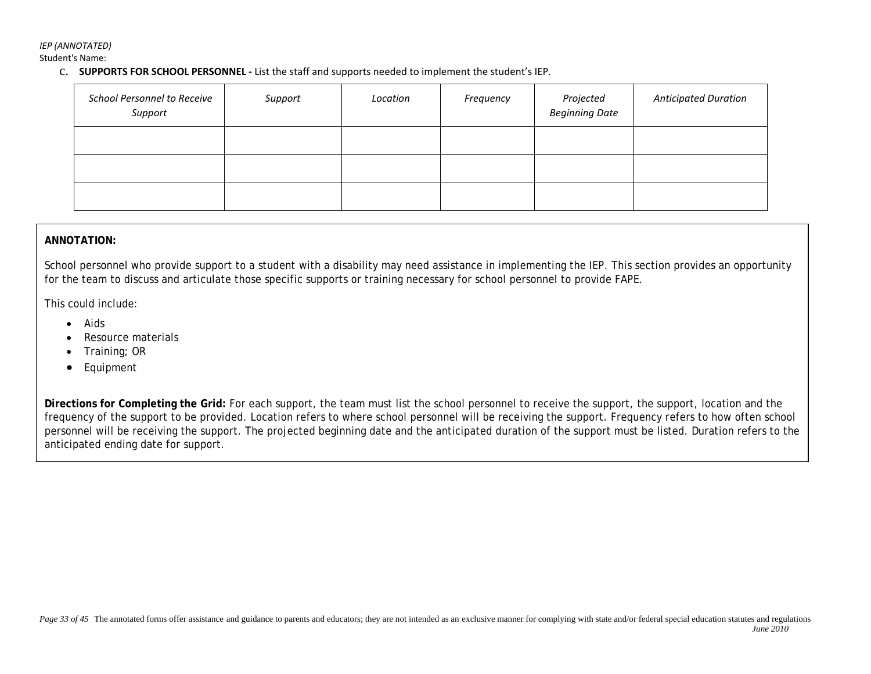*IEP (ANNOTATED)*

Student's Name:

c. **SUPPORTS FOR SCHOOL PERSONNEL -** List the staff and supports needed to implement the student's IEP.

| <b>School Personnel to Receive</b><br>Support | Support | Location | Frequency | Projected<br><b>Beginning Date</b> | <b>Anticipated Duration</b> |
|-----------------------------------------------|---------|----------|-----------|------------------------------------|-----------------------------|
|                                               |         |          |           |                                    |                             |
|                                               |         |          |           |                                    |                             |
|                                               |         |          |           |                                    |                             |

## **ANNOTATION:**

School personnel who provide support to a student with a disability may need assistance in implementing the IEP. This section provides an opportunity for the team to discuss and articulate those specific supports or training necessary for school personnel to provide FAPE.

This could include:

- Aids
- Resource materials
- Training; OR
- Equipment

**Directions for Completing the Grid:** For each support, the team must list the school personnel to receive the support, the support, location and the frequency of the support to be provided. Location refers to where school personnel will be receiving the support. Frequency refers to how often school personnel will be receiving the support. The projected beginning date and the anticipated duration of the support must be listed. Duration refers to the anticipated ending date for support.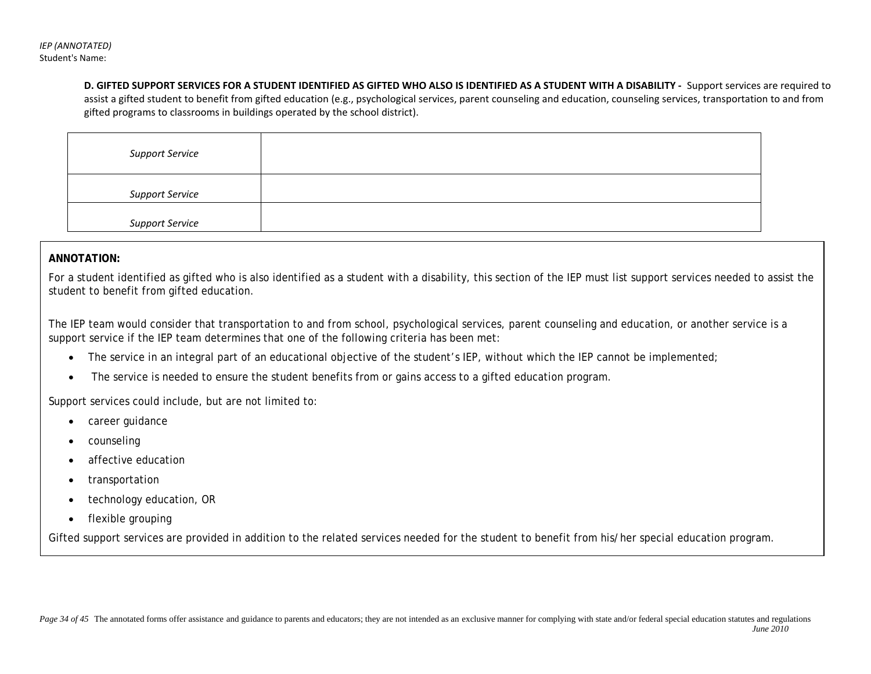**D. GIFTED SUPPORT SERVICES FOR A STUDENT IDENTIFIED AS GIFTED WHO ALSO IS IDENTIFIED AS A STUDENT WITH A DISABILITY -** Support services are required to assist a gifted student to benefit from gifted education (e.g., psychological services, parent counseling and education, counseling services, transportation to and from gifted programs to classrooms in buildings operated by the school district).

| <b>Support Service</b> |  |
|------------------------|--|
| <b>Support Service</b> |  |
| <b>Support Service</b> |  |

## **ANNOTATION:**

For a student identified as gifted who is also identified as a student with a disability, this section of the IEP must list support services needed to assist the student to benefit from gifted education.

The IEP team would consider that transportation to and from school, psychological services, parent counseling and education, or another service is a support service if the IEP team determines that one of the following criteria has been met:

- The service in an integral part of an educational objective of the student's IEP, without which the IEP cannot be implemented;
- The service is needed to ensure the student benefits from or gains access to a gifted education program.

Support services could include, but are not limited to:

- career guidance
- counseling
- affective education
- transportation
- technology education, OR
- flexible grouping

Gifted support services are provided in addition to the related services needed for the student to benefit from his/her special education program.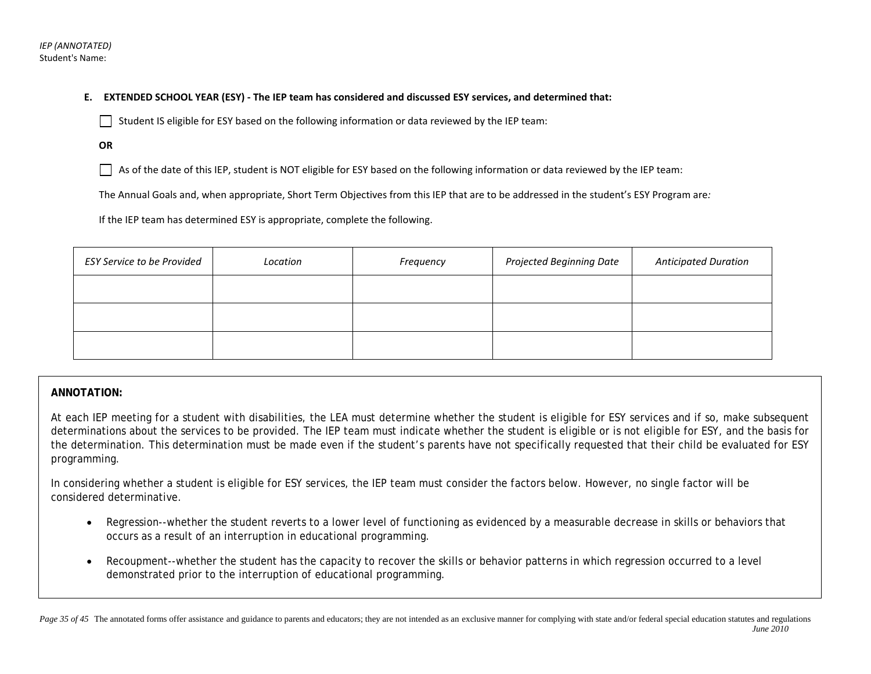**E. EXTENDED SCHOOL YEAR (ESY) - The IEP team has considered and discussed ESY services, and determined that:**

Student IS eligible for ESY based on the following information or data reviewed by the IEP team:

**OR** 

As of the date of this IEP, student is NOT eligible for ESY based on the following information or data reviewed by the IEP team:

The Annual Goals and, when appropriate, Short Term Objectives from this IEP that are to be addressed in the student's ESY Program are*:* 

If the IEP team has determined ESY is appropriate, complete the following.

| <b>ESY Service to be Provided</b> | Location | Frequency | Projected Beginning Date | <b>Anticipated Duration</b> |
|-----------------------------------|----------|-----------|--------------------------|-----------------------------|
|                                   |          |           |                          |                             |
|                                   |          |           |                          |                             |
|                                   |          |           |                          |                             |

## **ANNOTATION:**

At each IEP meeting for a student with disabilities, the LEA must determine whether the student is eligible for ESY services and if so, make subsequent determinations about the services to be provided. The IEP team must indicate whether the student is eligible or is not eligible for ESY, and the basis for the determination. This determination must be made even if the student's parents have not specifically requested that their child be evaluated for ESY programming.

In considering whether a student is eligible for ESY services, the IEP team must consider the factors below. However, no single factor will be considered determinative.

- Regression--whether the student reverts to a lower level of functioning as evidenced by a measurable decrease in skills or behaviors that occurs as a result of an interruption in educational programming.
- Recoupment--whether the student has the capacity to recover the skills or behavior patterns in which regression occurred to a level demonstrated prior to the interruption of educational programming.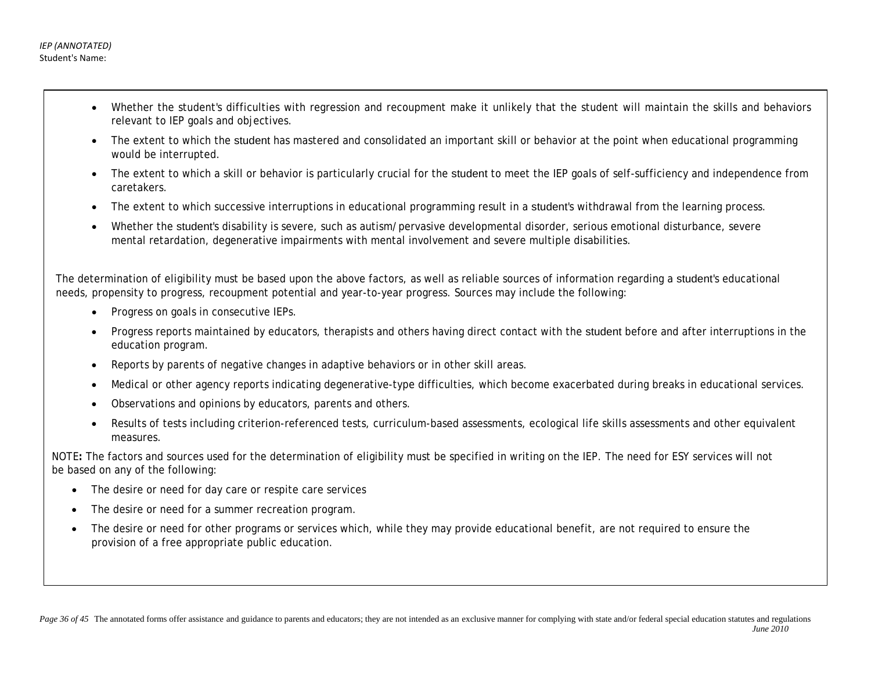- Whether the student's difficulties with regression and recoupment make it unlikely that the student will maintain the skills and behaviors relevant to IEP goals and objectives.
- The extent to which the student has mastered and consolidated an important skill or behavior at the point when educational programming would be interrupted.
- The extent to which a skill or behavior is particularly crucial for the student to meet the IEP goals of self-sufficiency and independence from caretakers.
- The extent to which successive interruptions in educational programming result in a student's withdrawal from the learning process.
- Whether the student's disability is severe, such as autism/pervasive developmental disorder, serious emotional disturbance, severe mental retardation, degenerative impairments with mental involvement and severe multiple disabilities.

The determination of eligibility must be based upon the above factors, as well as reliable sources of information regarding a student's educational needs, propensity to progress, recoupment potential and year-to-year progress. Sources may include the following:

- Progress on goals in consecutive IEPs.
- Progress reports maintained by educators, therapists and others having direct contact with the student before and after interruptions in the education program.
- Reports by parents of negative changes in adaptive behaviors or in other skill areas.
- Medical or other agency reports indicating degenerative-type difficulties, which become exacerbated during breaks in educational services.
- Observations and opinions by educators, parents and others.
- Results of tests including criterion-referenced tests, curriculum-based assessments, ecological life skills assessments and other equivalent measures.

NOTE**:** The factors and sources used for the determination of eligibility must be specified in writing on the IEP. The need for ESY services will not be based on any of the following:

- The desire or need for day care or respite care services
- The desire or need for a summer recreation program.
- The desire or need for other programs or services which, while they may provide educational benefit, are not required to ensure the provision of a free appropriate public education.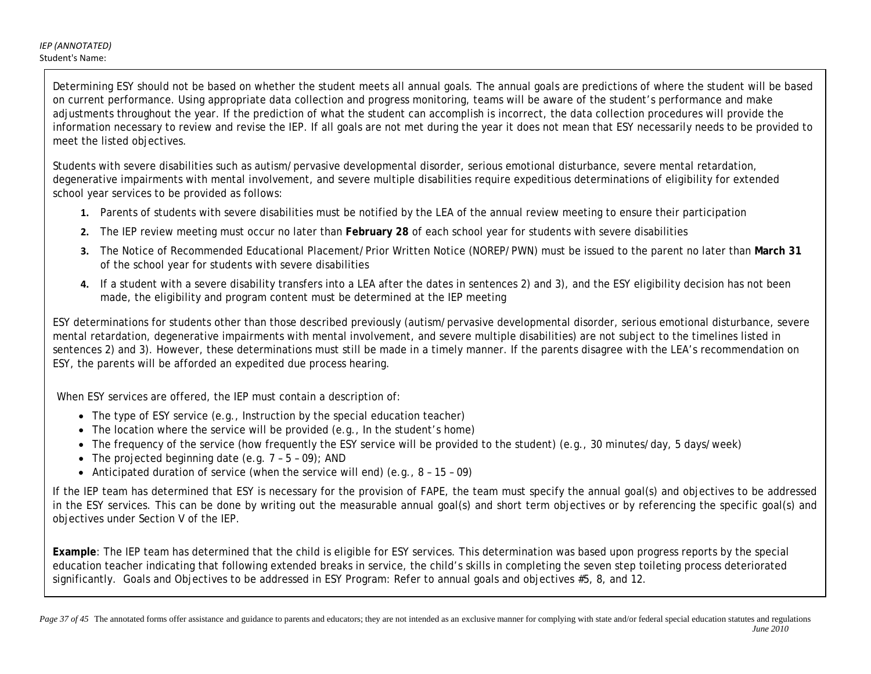*IEP (ANNOTATED)* Student's Name:

> Determining ESY should not be based on whether the student meets all annual goals. The annual goals are predictions of where the student will be based on current performance. Using appropriate data collection and progress monitoring, teams will be aware of the student's performance and make adjustments throughout the year. If the prediction of what the student can accomplish is incorrect, the data collection procedures will provide the information necessary to review and revise the IEP. If all goals are not met during the year it does not mean that ESY necessarily needs to be provided to meet the listed objectives.

Students with severe disabilities such as autism/pervasive developmental disorder, serious emotional disturbance, severe mental retardation, degenerative impairments with mental involvement, and severe multiple disabilities require expeditious determinations of eligibility for extended school year services to be provided as follows:

- **1.** Parents of students with severe disabilities must be notified by the LEA of the annual review meeting to ensure their participation
- **2.** The IEP review meeting must occur no later than **February 28** of each school year for students with severe disabilities
- **3.** The Notice of Recommended Educational Placement/Prior Written Notice (NOREP/PWN) must be issued to the parent no later than **March 31** of the school year for students with severe disabilities
- **4.** If a student with a severe disability transfers into a LEA after the dates in sentences 2) and 3), and the ESY eligibility decision has not been made, the eligibility and program content must be determined at the IEP meeting

ESY determinations for students other than those described previously (autism/pervasive developmental disorder, serious emotional disturbance, severe mental retardation, degenerative impairments with mental involvement, and severe multiple disabilities) are not subject to the timelines listed in sentences 2) and 3). However, these determinations must still be made in a timely manner. If the parents disagree with the LEA's recommendation on ESY, the parents will be afforded an expedited due process hearing.

When ESY services are offered, the IEP must contain a description of:

- The type of ESY service (e.g., Instruction by the special education teacher)
- The location where the service will be provided (e.g., In the student's home)
- The frequency of the service (how frequently the ESY service will be provided to the student) (e.g., 30 minutes/day, 5 days/week)
- The projected beginning date  $(e.g., 7 5 09)$ ; AND
- Anticipated duration of service (when the service will end) (e.g.,  $8 15 09$ )

If the IEP team has determined that ESY is necessary for the provision of FAPE, the team must specify the annual goal(s) and objectives to be addressed in the ESY services. This can be done by writing out the measurable annual goal(s) and short term objectives or by referencing the specific goal(s) and objectives under Section V of the IEP.

**Example**: The IEP team has determined that the child is eligible for ESY services. This determination was based upon progress reports by the special education teacher indicating that following extended breaks in service, the child's skills in completing the seven step toileting process deteriorated significantly. Goals and Objectives to be addressed in ESY Program: Refer to annual goals and objectives #5, 8, and 12.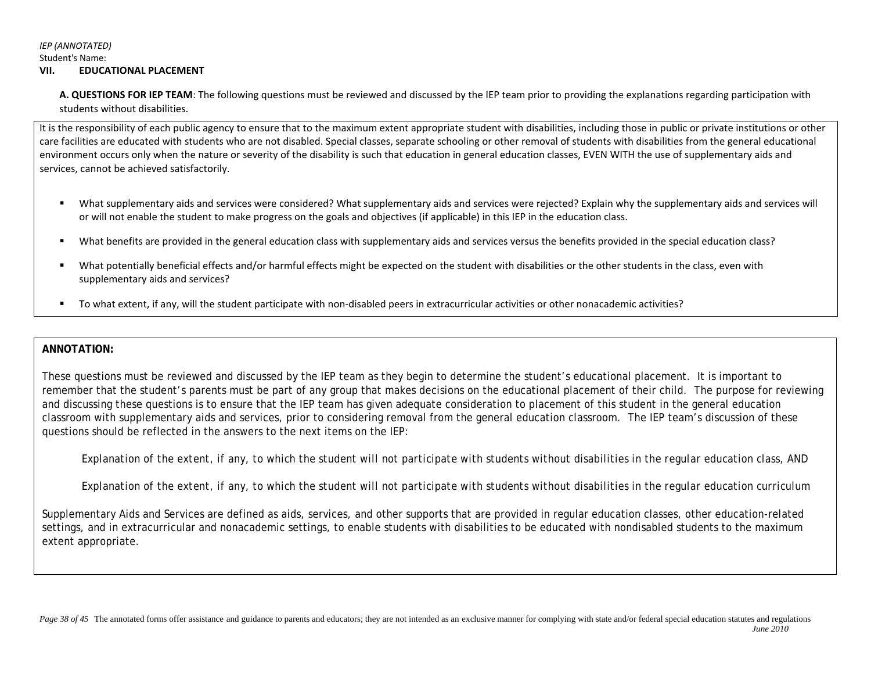## *IEP (ANNOTATED)* Student's Name:

### **VII. EDUCATIONAL PLACEMENT**

**A. QUESTIONS FOR IEP TEAM**: The following questions must be reviewed and discussed by the IEP team prior to providing the explanations regarding participation with students without disabilities.

It is the responsibility of each public agency to ensure that to the maximum extent appropriate student with disabilities, including those in public or private institutions or other care facilities are educated with students who are not disabled. Special classes, separate schooling or other removal of students with disabilities from the general educational environment occurs only when the nature or severity of the disability is such that education in general education classes, EVEN WITH the use of supplementary aids and services, cannot be achieved satisfactorily.

- What supplementary aids and services were considered? What supplementary aids and services were rejected? Explain why the supplementary aids and services will or will not enable the student to make progress on the goals and objectives (if applicable) in this IEP in the education class.
- What benefits are provided in the general education class with supplementary aids and services versus the benefits provided in the special education class?
- What potentially beneficial effects and/or harmful effects might be expected on the student with disabilities or the other students in the class, even with supplementary aids and services?
- To what extent, if any, will the student participate with non-disabled peers in extracurricular activities or other nonacademic activities?

## **ANNOTATION:**

These questions must be reviewed and discussed by the IEP team as they begin to determine the student's educational placement. It is important to remember that the student's parents must be part of any group that makes decisions on the educational placement of their child. The purpose for reviewing and discussing these questions is to ensure that the IEP team has given adequate consideration to placement of this student in the general education classroom with supplementary aids and services, prior to considering removal from the general education classroom. The IEP team's discussion of these questions should be reflected in the answers to the next items on the IEP:

*Explanation of the extent, if any, to which the student will not participate with students without disabilities in the regular education class*, AND

*Explanation of the extent, if any, to which the student will not participate with students without disabilities in the regular education curriculum*

Supplementary Aids and Services are defined as aids, services, and other supports that are provided in regular education classes, other education-related settings, and in extracurricular and nonacademic settings, to enable students with disabilities to be educated with nondisabled students to the maximum extent appropriate.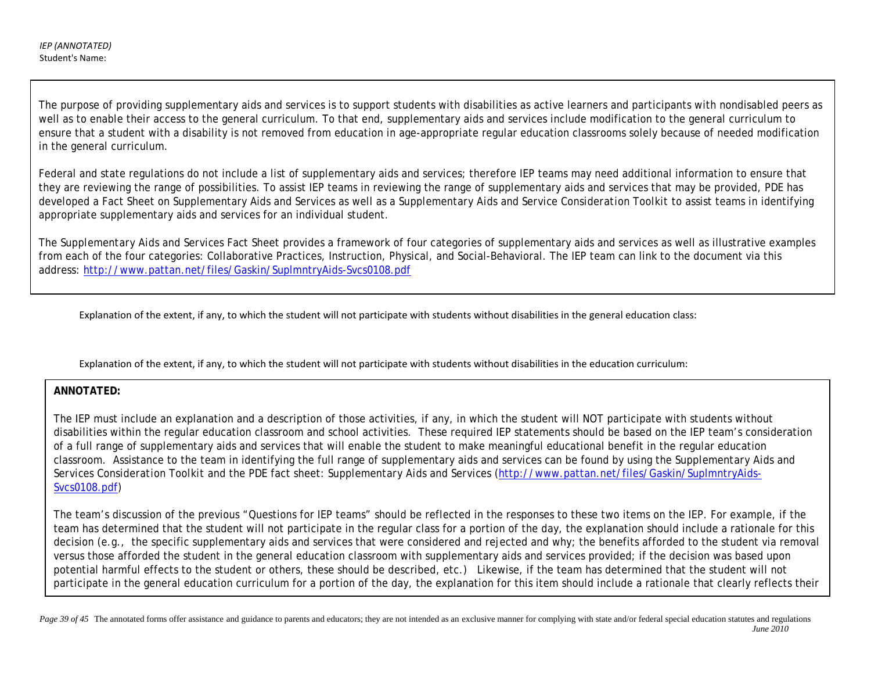The purpose of providing supplementary aids and services is to support students with disabilities as active learners and participants with nondisabled peers as well as to enable their access to the general curriculum. To that end, supplementary aids and services include modification to the general curriculum to ensure that a student with a disability is not removed from education in age-appropriate regular education classrooms solely because of needed modification in the general curriculum.

Federal and state regulations do not include a list of supplementary aids and services; therefore IEP teams may need additional information to ensure that they are reviewing the range of possibilities. To assist IEP teams in reviewing the range of supplementary aids and services that may be provided, PDE has developed a Fact Sheet on Supplementary Aids and Services as well as a *Supplementary Aids and Service Consideration Toolkit* to assist teams in identifying appropriate supplementary aids and services for an individual student.

The *Supplementary Aids and Services Fact Sheet* provides a framework of four categories of supplementary aids and services as well as illustrative examples from each of the four categories: Collaborative Practices, Instruction, Physical, and Social-Behavioral. The IEP team can link to the document via this address:<http://www.pattan.net/files/Gaskin/SuplmntryAids-Svcs0108.pdf>

Explanation of the extent, if any, to which the student will not participate with students without disabilities in the general education class:

Explanation of the extent, if any, to which the student will not participate with students without disabilities in the education curriculum:

## **ANNOTATED:**

j

The IEP must include an explanation and a description of those activities, if any, in which the student will NOT participate with students without disabilities within the regular education classroom and school activities. These required IEP statements should be based on the IEP team's consideration of a full range of supplementary aids and services that will enable the student to make meaningful educational benefit in the regular education classroom. Assistance to the team in identifying the full range of supplementary aids and services can be found by using the *Supplementary Aids and Services Consideration Toolkit* and the PDE fact sheet: *Supplementary Aids and Services* [\(http://www.pattan.net/files/Gaskin/SuplmntryAids-](http://www.pattan.net/files/Gaskin/SuplmntryAids-Svcs0108.pdf)[Svcs0108.pdf\)](http://www.pattan.net/files/Gaskin/SuplmntryAids-Svcs0108.pdf)

The team's discussion of the previous "Questions for IEP teams" should be reflected in the responses to these two items on the IEP. For example, if the team has determined that the student will not participate in the regular class for a portion of the day, the explanation should include a rationale for this decision (e.g., the specific supplementary aids and services that were considered and rejected and why; the benefits afforded to the student via removal versus those afforded the student in the general education classroom with supplementary aids and services provided; if the decision was based upon potential harmful effects to the student or others, these should be described, etc.) Likewise, if the team has determined that the student will not participate in the general education curriculum for a portion of the day, the explanation for this item should include a rationale that clearly reflects their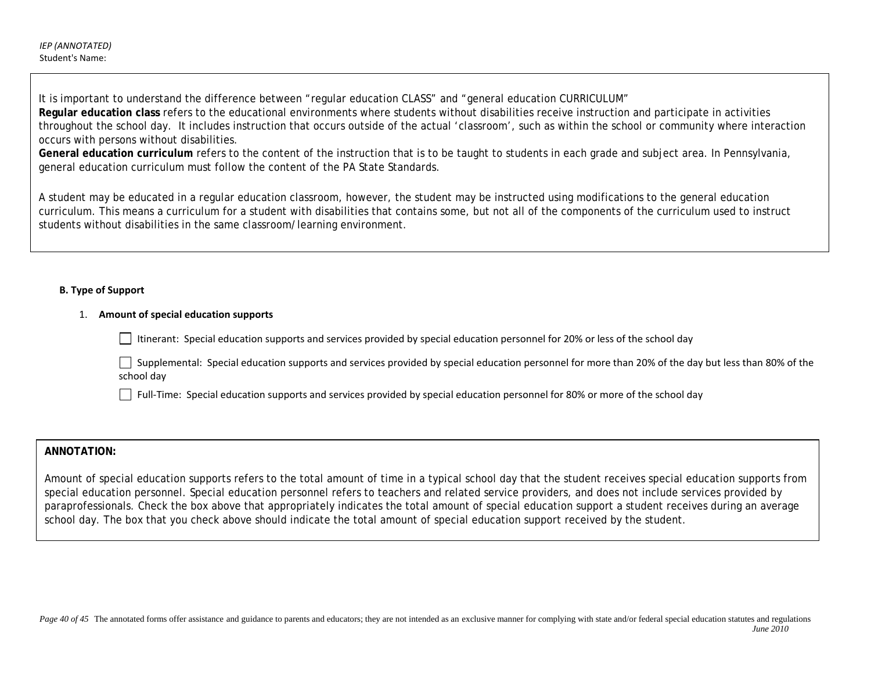It is important to understand the difference between "regular education CLASS" and "general education CURRICULUM" **Regular education class** refers to the educational environments where students without disabilities receive instruction and participate in activities throughout the school day. It includes instruction that occurs outside of the actual 'classroom', such as within the school or community where interaction occurs with persons without disabilities.

**General education curriculum** refers to the content of the instruction that is to be taught to students in each grade and subject area. In Pennsylvania, general education curriculum must follow the content of the PA State Standards.

A student may be educated in a regular education classroom, however, the student may be instructed using modifications to the general education curriculum. This means a curriculum for a student with disabilities that contains some, but not all of the components of the curriculum used to instruct students without disabilities in the same classroom/learning environment.

## **B. Type of Support**

## 1. **Amount of special education supports**

Itinerant: Special education supports and services provided by special education personnel for 20% or less of the school day

Supplemental: Special education supports and services provided by special education personnel for more than 20% of the day but less than 80% of the school day

Full-Time: Special education supports and services provided by special education personnel for 80% or more of the school day

## **ANNOTATION:**

Amount of special education supports refers to the total amount of time in a typical school day that the student receives special education supports from special education personnel. Special education personnel refers to teachers and related service providers, and does not include services provided by paraprofessionals. Check the box above that appropriately indicates the total amount of special education support a student receives during an average school day. The box that you check above should indicate the total amount of special education support received by the student.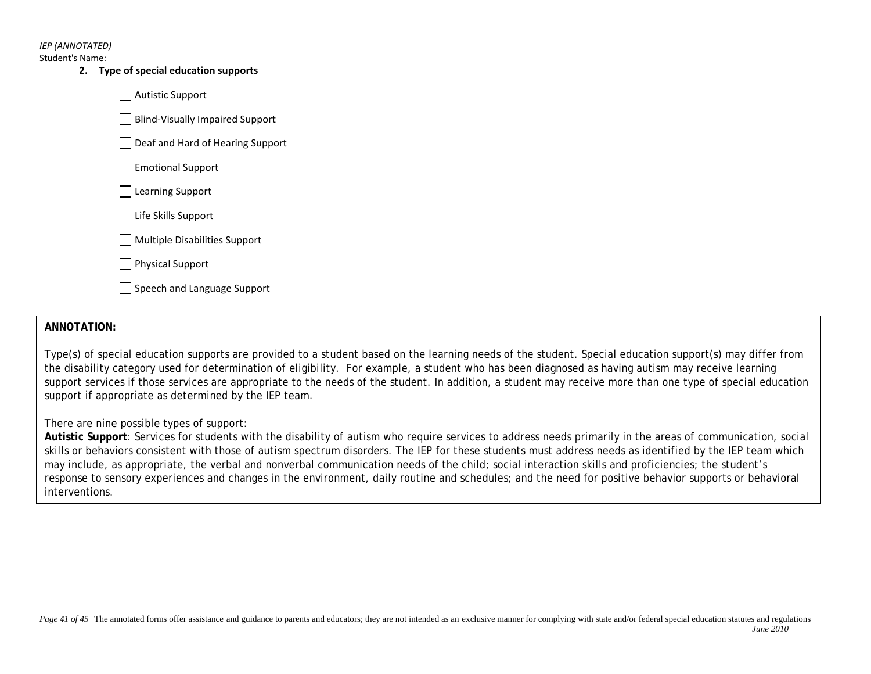*IEP (ANNOTATED)*

Student's Name:

**2. Type of special education supports** 

Autistic Support

Blind-Visually Impaired Support

Deaf and Hard of Hearing Support

Emotional Support

□ Learning Support

Life Skills Support

Multiple Disabilities Support

Physical Support

Speech and Language Support

## **ANNOTATION:**

Type(s) of special education supports are provided to a student based on the learning needs of the student. Special education support(s) may differ from the disability category used for determination of eligibility. For example, a student who has been diagnosed as having autism may receive learning support services if those services are appropriate to the needs of the student. In addition, a student may receive more than one type of special education support if appropriate as determined by the IEP team.

There are nine possible types of support:

**Autistic Support**: Services for students with the disability of autism who require services to address needs primarily in the areas of communication, social skills or behaviors consistent with those of autism spectrum disorders. The IEP for these students must address needs as identified by the IEP team which may include, as appropriate, the verbal and nonverbal communication needs of the child; social interaction skills and proficiencies; the student's response to sensory experiences and changes in the environment, daily routine and schedules; and the need for positive behavior supports or behavioral interventions.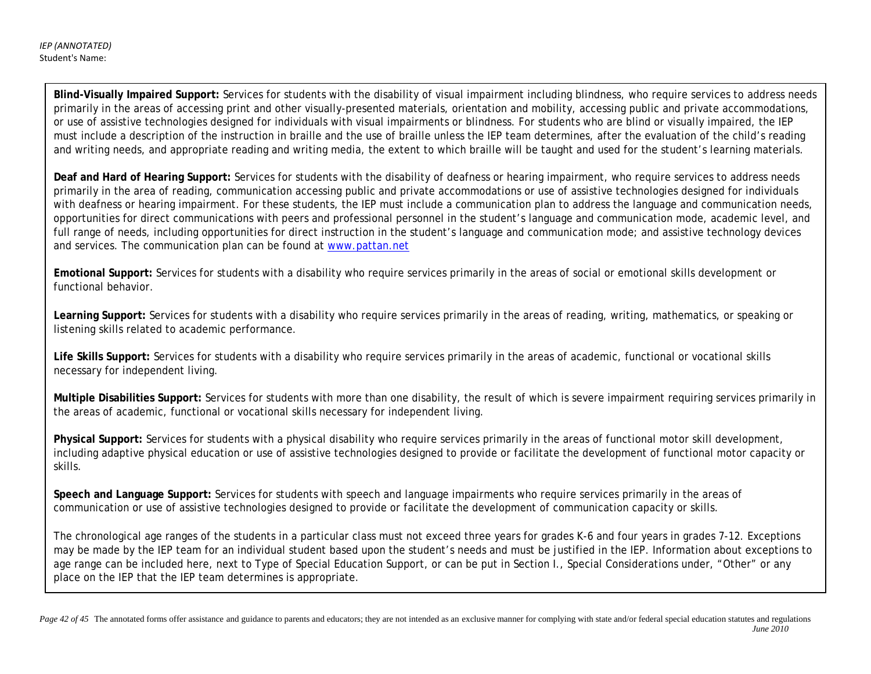**Blind-Visually Impaired Support:** Services for students with the disability of visual impairment including blindness, who require services to address needs primarily in the areas of accessing print and other visually-presented materials, orientation and mobility, accessing public and private accommodations, or use of assistive technologies designed for individuals with visual impairments or blindness. For students who are blind or visually impaired, the IEP must include a description of the instruction in braille and the use of braille unless the IEP team determines, after the evaluation of the child's reading and writing needs, and appropriate reading and writing media, the extent to which braille will be taught and used for the student's learning materials.

**Deaf and Hard of Hearing Support:** Services for students with the disability of deafness or hearing impairment, who require services to address needs primarily in the area of reading, communication accessing public and private accommodations or use of assistive technologies designed for individuals with deafness or hearing impairment. For these students, the IEP must include a communication plan to address the language and communication needs, opportunities for direct communications with peers and professional personnel in the student's language and communication mode, academic level, and full range of needs, including opportunities for direct instruction in the student's language and communication mode; and assistive technology devices and services. The communication plan can be found at [www.pattan.net](http://www.pattan.net/)

**Emotional Support:** Services for students with a disability who require services primarily in the areas of social or emotional skills development or functional behavior.

**Learning Support:** Services for students with a disability who require services primarily in the areas of reading, writing, mathematics, or speaking or listening skills related to academic performance.

**Life Skills Support:** Services for students with a disability who require services primarily in the areas of academic, functional or vocational skills necessary for independent living.

**Multiple Disabilities Support:** Services for students with more than one disability, the result of which is severe impairment requiring services primarily in the areas of academic, functional or vocational skills necessary for independent living.

**Physical Support:** Services for students with a physical disability who require services primarily in the areas of functional motor skill development, including adaptive physical education or use of assistive technologies designed to provide or facilitate the development of functional motor capacity or skills.

**Speech and Language Support:** Services for students with speech and language impairments who require services primarily in the areas of communication or use of assistive technologies designed to provide or facilitate the development of communication capacity or skills.

The chronological age ranges of the students in a particular class must not exceed three years for grades K-6 and four years in grades 7-12. Exceptions may be made by the IEP team for an individual student based upon the student's needs and must be justified in the IEP. Information about exceptions to age range can be included here, next to Type of Special Education Support, or can be put in Section I., Special Considerations under, "Other" or any place on the IEP that the IEP team determines is appropriate.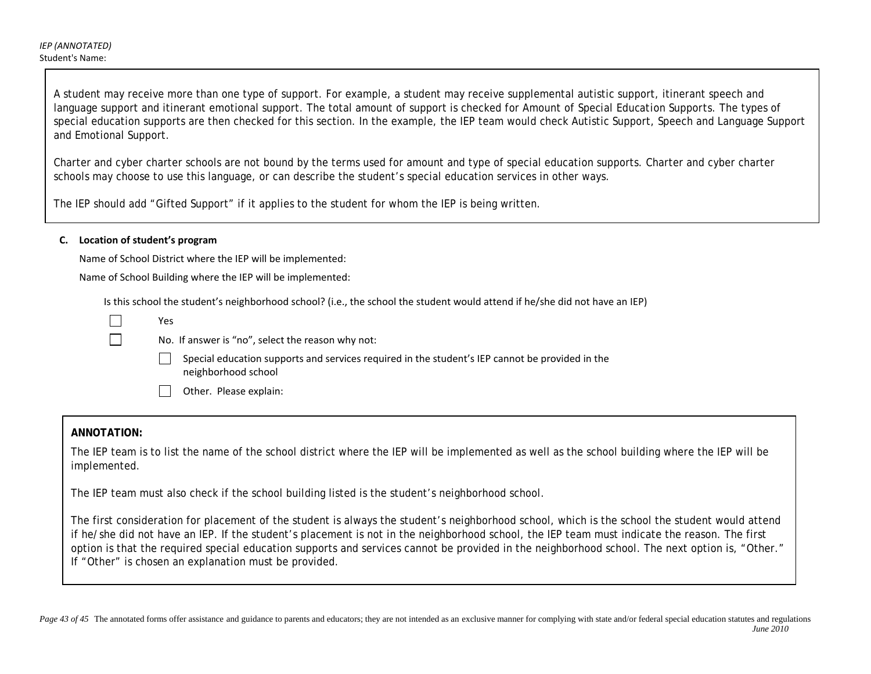A student may receive more than one type of support. For example, a student may receive supplemental autistic support, itinerant speech and language support and itinerant emotional support. The total amount of support is checked for *Amount of Special Education Supports.* The types of special education supports are then checked for this section. In the example, the IEP team would check Autistic Support, Speech and Language Support and Emotional Support.

Charter and cyber charter schools are not bound by the terms used for amount and type of special education supports. Charter and cyber charter schools may choose to use this language, or can describe the student's special education services in other ways.

The IEP should add "Gifted Support" if it applies to the student for whom the IEP is being written.

### **C. Location of student's program**

Name of School District where the IEP will be implemented:

Name of School Building where the IEP will be implemented:

Is this school the student's neighborhood school? (i.e., the school the student would attend if he/she did not have an IEP)

| Yes                                                                                                                    |
|------------------------------------------------------------------------------------------------------------------------|
| No. If answer is "no", select the reason why not:                                                                      |
| Special education supports and services required in the student's IEP cannot be provided in the<br>neighborhood school |
| Other. Please explain:                                                                                                 |

### **ANNOTATION:**

The IEP team is to list the name of the school district where the IEP will be implemented as well as the school building where the IEP will be implemented.

The IEP team must also check if the school building listed is the student's neighborhood school.

The first consideration for placement of the student is always the student's neighborhood school, which is the school the student would attend if he/she did not have an IEP. If the student's placement is not in the neighborhood school, the IEP team must indicate the reason. The first option is that the required special education supports and services cannot be provided in the neighborhood school. The next option is, "Other." If "Other" is chosen an explanation must be provided.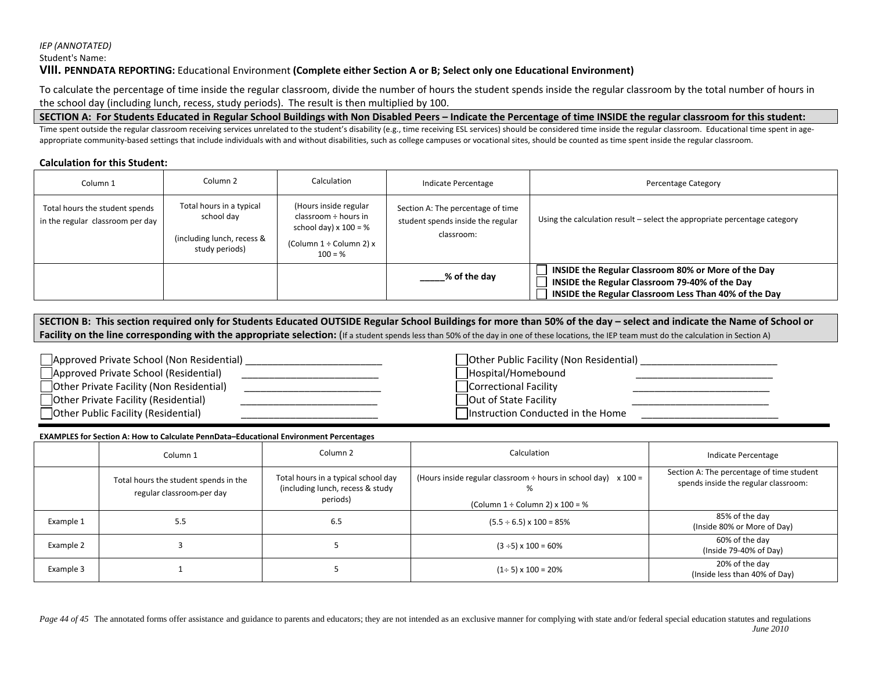#### *IEP (ANNOTATED)*

Student's Name:

#### **VIII. PENNDATA REPORTING:** Educational Environment **(Complete either Section A or B; Select only one Educational Environment)**

To calculate the percentage of time inside the regular classroom, divide the number of hours the student spends inside the regular classroom by the total number of hours in the school day (including lunch, recess, study periods). The result is then multiplied by 100.

#### **SECTION A: For Students Educated in Regular School Buildings with Non Disabled Peers – Indicate the Percentage of time INSIDE the regular classroom for this student:**

Time spent outside the regular classroom receiving services unrelated to the student's disability (e.g., time receiving ESL services) should be considered time inside the regular classroom. Educational time spent in ageappropriate community-based settings that include individuals with and without disabilities, such as college campuses or vocational sites, should be counted as time spent inside the regular classroom.

#### **Calculation for this Student:**

| Column <sub>1</sub>                                                | Column <sub>2</sub>                                                                    | Calculation                                                                                                           | Indicate Percentage                                                                  | Percentage Category                                                                                                                                            |
|--------------------------------------------------------------------|----------------------------------------------------------------------------------------|-----------------------------------------------------------------------------------------------------------------------|--------------------------------------------------------------------------------------|----------------------------------------------------------------------------------------------------------------------------------------------------------------|
| Total hours the student spends<br>in the regular classroom per day | Total hours in a typical<br>school day<br>(including lunch, recess &<br>study periods) | (Hours inside regular<br>classroom ÷ hours in<br>school day) $x 100 = %$<br>(Column $1 \div$ Column 2) x<br>$100 = %$ | Section A: The percentage of time<br>student spends inside the regular<br>classroom: | Using the calculation result - select the appropriate percentage category                                                                                      |
|                                                                    |                                                                                        |                                                                                                                       | % of the day                                                                         | INSIDE the Regular Classroom 80% or More of the Day<br>INSIDE the Regular Classroom 79-40% of the Day<br>INSIDE the Regular Classroom Less Than 40% of the Day |

**SECTION B: This section required only for Students Educated OUTSIDE Regular School Buildings for more than 50% of the day – select and indicate the Name of School or**  Facility on the line corresponding with the appropriate selection: (If a student spends less than 50% of the day in one of these locations, the IEP team must do the calculation in Section A)

| Approved Private School (Non Residential) | Other Public Facility (Non Residential) |
|-------------------------------------------|-----------------------------------------|
| Approved Private School (Residential)     | Hospital/Homebound                      |
| Other Private Facility (Non Residential)  | Correctional Facility                   |
| Other Private Facility (Residential)      | Out of State Facility                   |
| Other Public Facility (Residential)       | Instruction Conducted in the Home       |

#### **EXAMPLES for Section A: How to Calculate PennData–Educational Environment Percentages**

|           | Column 1                                                           | Column <sub>2</sub>                                                                 | Calculation                                                                                                          | Indicate Percentage                                                               |
|-----------|--------------------------------------------------------------------|-------------------------------------------------------------------------------------|----------------------------------------------------------------------------------------------------------------------|-----------------------------------------------------------------------------------|
|           | Total hours the student spends in the<br>regular classroom-per day | Total hours in a typical school day<br>(including lunch, recess & study<br>periods) | (Hours inside regular classroom $\div$ hours in school day) $\times$ 100 =<br>(Column $1 \div$ Column 2) x $100 = %$ | Section A: The percentage of time student<br>spends inside the regular classroom: |
| Example 1 | 5.5                                                                | 6.5                                                                                 | $(5.5 \div 6.5) \times 100 = 85\%$                                                                                   | 85% of the day<br>(Inside 80% or More of Day)                                     |
| Example 2 |                                                                    |                                                                                     | $(3 \div 5) \times 100 = 60\%$                                                                                       | 60% of the day<br>(Inside 79-40% of Day)                                          |
| Example 3 |                                                                    |                                                                                     | $(1\div 5) \times 100 = 20\%$                                                                                        | 20% of the day<br>(Inside less than 40% of Day)                                   |

*Page 44 of 45* The annotated forms offer assistance and guidance to parents and educators; they are not intended as an exclusive manner for complying with state and/or federal special education statutes and regulations *June 2010*